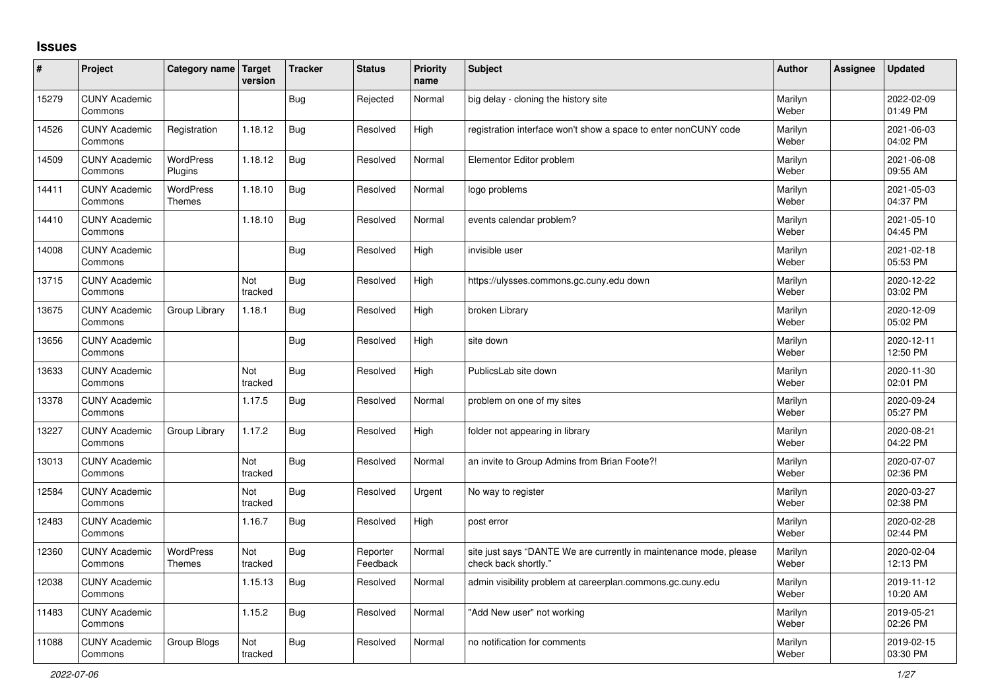## **Issues**

| ∦     | Project                         | Category name Target              | version        | <b>Tracker</b> | <b>Status</b>        | <b>Priority</b><br>name | <b>Subject</b>                                                                             | <b>Author</b>    | <b>Assignee</b> | <b>Updated</b>         |
|-------|---------------------------------|-----------------------------------|----------------|----------------|----------------------|-------------------------|--------------------------------------------------------------------------------------------|------------------|-----------------|------------------------|
| 15279 | <b>CUNY Academic</b><br>Commons |                                   |                | Bug            | Rejected             | Normal                  | big delay - cloning the history site                                                       | Marilyn<br>Weber |                 | 2022-02-09<br>01:49 PM |
| 14526 | <b>CUNY Academic</b><br>Commons | Registration                      | 1.18.12        | Bug            | Resolved             | High                    | registration interface won't show a space to enter nonCUNY code                            | Marilyn<br>Weber |                 | 2021-06-03<br>04:02 PM |
| 14509 | <b>CUNY Academic</b><br>Commons | <b>WordPress</b><br>Plugins       | 1.18.12        | Bug            | Resolved             | Normal                  | Elementor Editor problem                                                                   | Marilyn<br>Weber |                 | 2021-06-08<br>09:55 AM |
| 14411 | <b>CUNY Academic</b><br>Commons | <b>WordPress</b><br><b>Themes</b> | 1.18.10        | Bug            | Resolved             | Normal                  | logo problems                                                                              | Marilyn<br>Weber |                 | 2021-05-03<br>04:37 PM |
| 14410 | <b>CUNY Academic</b><br>Commons |                                   | 1.18.10        | Bug            | Resolved             | Normal                  | events calendar problem?                                                                   | Marilyn<br>Weber |                 | 2021-05-10<br>04:45 PM |
| 14008 | <b>CUNY Academic</b><br>Commons |                                   |                | Bug            | Resolved             | High                    | invisible user                                                                             | Marilyn<br>Weber |                 | 2021-02-18<br>05:53 PM |
| 13715 | <b>CUNY Academic</b><br>Commons |                                   | Not<br>tracked | <b>Bug</b>     | Resolved             | High                    | https://ulysses.commons.gc.cuny.edu down                                                   | Marilyn<br>Weber |                 | 2020-12-22<br>03:02 PM |
| 13675 | <b>CUNY Academic</b><br>Commons | Group Library                     | 1.18.1         | <b>Bug</b>     | Resolved             | High                    | broken Library                                                                             | Marilyn<br>Weber |                 | 2020-12-09<br>05:02 PM |
| 13656 | <b>CUNY Academic</b><br>Commons |                                   |                | Bug            | Resolved             | High                    | site down                                                                                  | Marilyn<br>Weber |                 | 2020-12-11<br>12:50 PM |
| 13633 | <b>CUNY Academic</b><br>Commons |                                   | Not<br>tracked | Bug            | Resolved             | High                    | PublicsLab site down                                                                       | Marilyn<br>Weber |                 | 2020-11-30<br>02:01 PM |
| 13378 | <b>CUNY Academic</b><br>Commons |                                   | 1.17.5         | Bug            | Resolved             | Normal                  | problem on one of my sites                                                                 | Marilyn<br>Weber |                 | 2020-09-24<br>05:27 PM |
| 13227 | <b>CUNY Academic</b><br>Commons | Group Library                     | 1.17.2         | Bug            | Resolved             | High                    | folder not appearing in library                                                            | Marilyn<br>Weber |                 | 2020-08-21<br>04:22 PM |
| 13013 | <b>CUNY Academic</b><br>Commons |                                   | Not<br>tracked | Bug            | Resolved             | Normal                  | an invite to Group Admins from Brian Foote?!                                               | Marilyn<br>Weber |                 | 2020-07-07<br>02:36 PM |
| 12584 | <b>CUNY Academic</b><br>Commons |                                   | Not<br>tracked | Bug            | Resolved             | Urgent                  | No way to register                                                                         | Marilyn<br>Weber |                 | 2020-03-27<br>02:38 PM |
| 12483 | <b>CUNY Academic</b><br>Commons |                                   | 1.16.7         | <b>Bug</b>     | Resolved             | High                    | post error                                                                                 | Marilyn<br>Weber |                 | 2020-02-28<br>02:44 PM |
| 12360 | <b>CUNY Academic</b><br>Commons | WordPress<br><b>Themes</b>        | Not<br>tracked | Bug            | Reporter<br>Feedback | Normal                  | site just says "DANTE We are currently in maintenance mode, please<br>check back shortly." | Marilyn<br>Weber |                 | 2020-02-04<br>12:13 PM |
| 12038 | <b>CUNY Academic</b><br>Commons |                                   | 1.15.13        | <b>Bug</b>     | Resolved             | Normal                  | admin visibility problem at careerplan.commons.gc.cuny.edu                                 | Marilyn<br>Weber |                 | 2019-11-12<br>10:20 AM |
| 11483 | <b>CUNY Academic</b><br>Commons |                                   | 1.15.2         | Bug            | Resolved             | Normal                  | 'Add New user" not working                                                                 | Marilyn<br>Weber |                 | 2019-05-21<br>02:26 PM |
| 11088 | <b>CUNY Academic</b><br>Commons | Group Blogs                       | Not<br>tracked | Bug            | Resolved             | Normal                  | no notification for comments                                                               | Marilyn<br>Weber |                 | 2019-02-15<br>03:30 PM |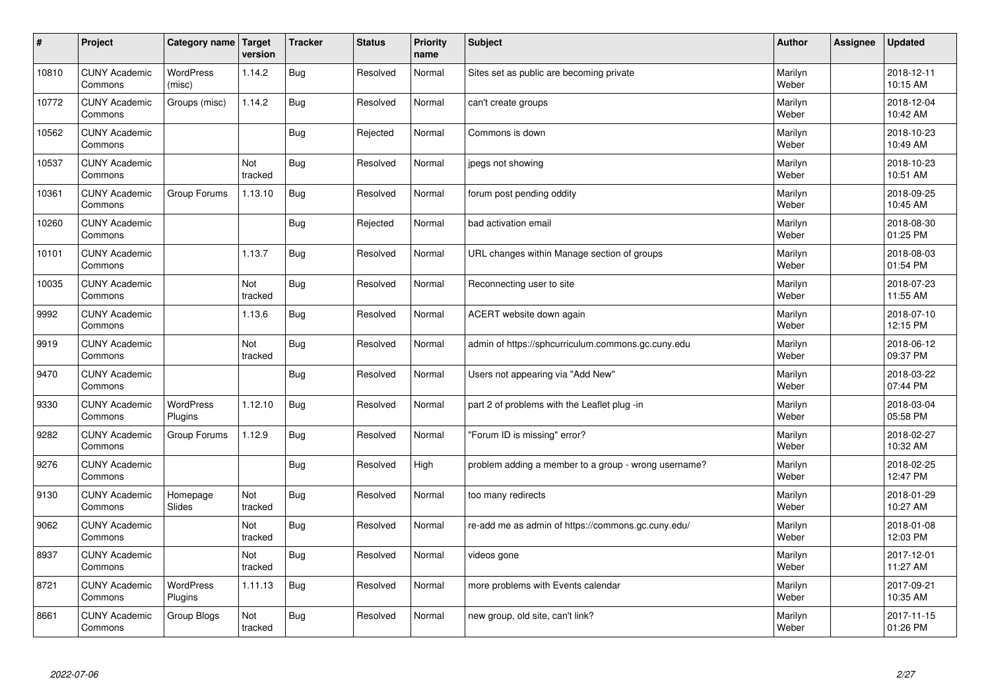| #     | Project                         | Category name               | Target<br>version | <b>Tracker</b> | <b>Status</b> | <b>Priority</b><br>name | <b>Subject</b>                                       | <b>Author</b>    | <b>Assignee</b> | <b>Updated</b>         |
|-------|---------------------------------|-----------------------------|-------------------|----------------|---------------|-------------------------|------------------------------------------------------|------------------|-----------------|------------------------|
| 10810 | <b>CUNY Academic</b><br>Commons | <b>WordPress</b><br>(misc)  | 1.14.2            | <b>Bug</b>     | Resolved      | Normal                  | Sites set as public are becoming private             | Marilyn<br>Weber |                 | 2018-12-11<br>10:15 AM |
| 10772 | <b>CUNY Academic</b><br>Commons | Groups (misc)               | 1.14.2            | Bug            | Resolved      | Normal                  | can't create groups                                  | Marilyn<br>Weber |                 | 2018-12-04<br>10:42 AM |
| 10562 | <b>CUNY Academic</b><br>Commons |                             |                   | <b>Bug</b>     | Rejected      | Normal                  | Commons is down                                      | Marilyn<br>Weber |                 | 2018-10-23<br>10:49 AM |
| 10537 | <b>CUNY Academic</b><br>Commons |                             | Not<br>tracked    | <b>Bug</b>     | Resolved      | Normal                  | jpegs not showing                                    | Marilyn<br>Weber |                 | 2018-10-23<br>10:51 AM |
| 10361 | <b>CUNY Academic</b><br>Commons | Group Forums                | 1.13.10           | <b>Bug</b>     | Resolved      | Normal                  | forum post pending oddity                            | Marilyn<br>Weber |                 | 2018-09-25<br>10:45 AM |
| 10260 | <b>CUNY Academic</b><br>Commons |                             |                   | Bug            | Rejected      | Normal                  | bad activation email                                 | Marilyn<br>Weber |                 | 2018-08-30<br>01:25 PM |
| 10101 | <b>CUNY Academic</b><br>Commons |                             | 1.13.7            | <b>Bug</b>     | Resolved      | Normal                  | URL changes within Manage section of groups          | Marilyn<br>Weber |                 | 2018-08-03<br>01:54 PM |
| 10035 | <b>CUNY Academic</b><br>Commons |                             | Not<br>tracked    | <b>Bug</b>     | Resolved      | Normal                  | Reconnecting user to site                            | Marilyn<br>Weber |                 | 2018-07-23<br>11:55 AM |
| 9992  | <b>CUNY Academic</b><br>Commons |                             | 1.13.6            | Bug            | Resolved      | Normal                  | ACERT website down again                             | Marilyn<br>Weber |                 | 2018-07-10<br>12:15 PM |
| 9919  | <b>CUNY Academic</b><br>Commons |                             | Not<br>tracked    | <b>Bug</b>     | Resolved      | Normal                  | admin of https://sphcurriculum.commons.gc.cuny.edu   | Marilyn<br>Weber |                 | 2018-06-12<br>09:37 PM |
| 9470  | <b>CUNY Academic</b><br>Commons |                             |                   | <b>Bug</b>     | Resolved      | Normal                  | Users not appearing via "Add New"                    | Marilyn<br>Weber |                 | 2018-03-22<br>07:44 PM |
| 9330  | <b>CUNY Academic</b><br>Commons | WordPress<br>Plugins        | 1.12.10           | <b>Bug</b>     | Resolved      | Normal                  | part 2 of problems with the Leaflet plug -in         | Marilyn<br>Weber |                 | 2018-03-04<br>05:58 PM |
| 9282  | <b>CUNY Academic</b><br>Commons | Group Forums                | 1.12.9            | Bug            | Resolved      | Normal                  | 'Forum ID is missing" error?                         | Marilyn<br>Weber |                 | 2018-02-27<br>10:32 AM |
| 9276  | <b>CUNY Academic</b><br>Commons |                             |                   | Bug            | Resolved      | High                    | problem adding a member to a group - wrong username? | Marilyn<br>Weber |                 | 2018-02-25<br>12:47 PM |
| 9130  | <b>CUNY Academic</b><br>Commons | Homepage<br>Slides          | Not<br>tracked    | <b>Bug</b>     | Resolved      | Normal                  | too many redirects                                   | Marilyn<br>Weber |                 | 2018-01-29<br>10:27 AM |
| 9062  | <b>CUNY Academic</b><br>Commons |                             | Not<br>tracked    | <b>Bug</b>     | Resolved      | Normal                  | re-add me as admin of https://commons.gc.cuny.edu/   | Marilyn<br>Weber |                 | 2018-01-08<br>12:03 PM |
| 8937  | <b>CUNY Academic</b><br>Commons |                             | Not<br>tracked    | <b>Bug</b>     | Resolved      | Normal                  | videos gone                                          | Marilyn<br>Weber |                 | 2017-12-01<br>11:27 AM |
| 8721  | <b>CUNY Academic</b><br>Commons | <b>WordPress</b><br>Plugins | 1.11.13           | Bug            | Resolved      | Normal                  | more problems with Events calendar                   | Marilyn<br>Weber |                 | 2017-09-21<br>10:35 AM |
| 8661  | <b>CUNY Academic</b><br>Commons | Group Blogs                 | Not<br>tracked    | Bug            | Resolved      | Normal                  | new group, old site, can't link?                     | Marilyn<br>Weber |                 | 2017-11-15<br>01:26 PM |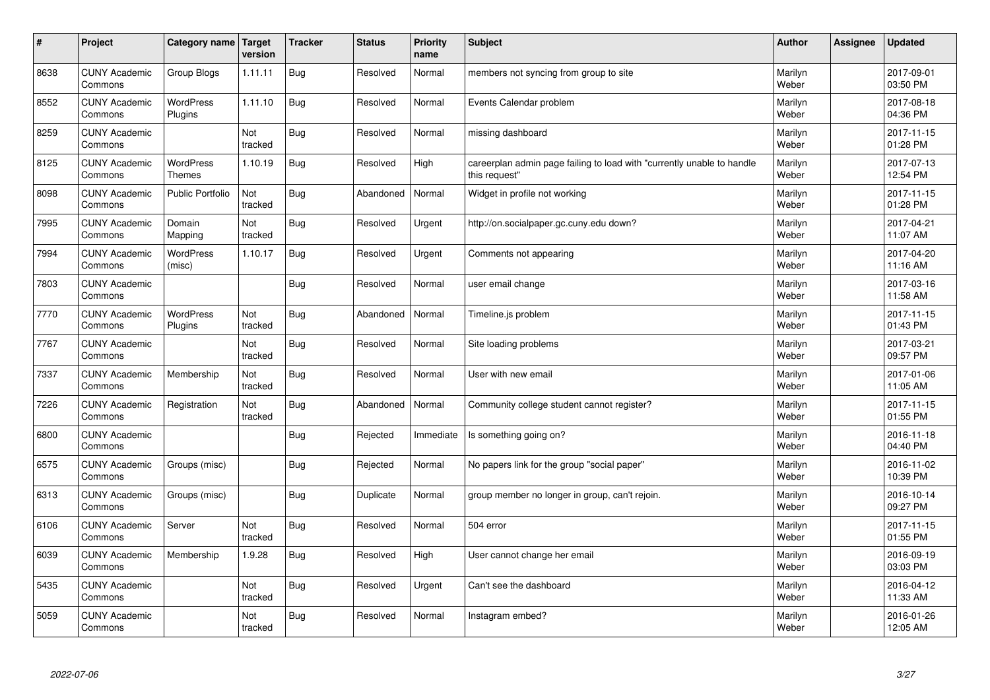| $\vert$ # | Project                         | Category name   Target      | version        | <b>Tracker</b> | <b>Status</b> | <b>Priority</b><br>name | <b>Subject</b>                                                                          | <b>Author</b>    | Assignee | <b>Updated</b>         |
|-----------|---------------------------------|-----------------------------|----------------|----------------|---------------|-------------------------|-----------------------------------------------------------------------------------------|------------------|----------|------------------------|
| 8638      | <b>CUNY Academic</b><br>Commons | Group Blogs                 | 1.11.11        | <b>Bug</b>     | Resolved      | Normal                  | members not syncing from group to site                                                  | Marilyn<br>Weber |          | 2017-09-01<br>03:50 PM |
| 8552      | <b>CUNY Academic</b><br>Commons | <b>WordPress</b><br>Plugins | 1.11.10        | <b>Bug</b>     | Resolved      | Normal                  | Events Calendar problem                                                                 | Marilyn<br>Weber |          | 2017-08-18<br>04:36 PM |
| 8259      | <b>CUNY Academic</b><br>Commons |                             | Not<br>tracked | <b>Bug</b>     | Resolved      | Normal                  | missing dashboard                                                                       | Marilyn<br>Weber |          | 2017-11-15<br>01:28 PM |
| 8125      | <b>CUNY Academic</b><br>Commons | WordPress<br><b>Themes</b>  | 1.10.19        | <b>Bug</b>     | Resolved      | High                    | careerplan admin page failing to load with "currently unable to handle<br>this request" | Marilyn<br>Weber |          | 2017-07-13<br>12:54 PM |
| 8098      | <b>CUNY Academic</b><br>Commons | <b>Public Portfolio</b>     | Not<br>tracked | Bug            | Abandoned     | Normal                  | Widget in profile not working                                                           | Marilyn<br>Weber |          | 2017-11-15<br>01:28 PM |
| 7995      | <b>CUNY Academic</b><br>Commons | Domain<br>Mapping           | Not<br>tracked | <b>Bug</b>     | Resolved      | Urgent                  | http://on.socialpaper.gc.cuny.edu down?                                                 | Marilyn<br>Weber |          | 2017-04-21<br>11:07 AM |
| 7994      | <b>CUNY Academic</b><br>Commons | <b>WordPress</b><br>(misc)  | 1.10.17        | Bug            | Resolved      | Urgent                  | Comments not appearing                                                                  | Marilyn<br>Weber |          | 2017-04-20<br>11:16 AM |
| 7803      | <b>CUNY Academic</b><br>Commons |                             |                | Bug            | Resolved      | Normal                  | user email change                                                                       | Marilyn<br>Weber |          | 2017-03-16<br>11:58 AM |
| 7770      | <b>CUNY Academic</b><br>Commons | WordPress<br>Plugins        | Not<br>tracked | Bug            | Abandoned     | Normal                  | Timeline.js problem                                                                     | Marilyn<br>Weber |          | 2017-11-15<br>01:43 PM |
| 7767      | <b>CUNY Academic</b><br>Commons |                             | Not<br>tracked | <b>Bug</b>     | Resolved      | Normal                  | Site loading problems                                                                   | Marilyn<br>Weber |          | 2017-03-21<br>09:57 PM |
| 7337      | <b>CUNY Academic</b><br>Commons | Membership                  | Not<br>tracked | <b>Bug</b>     | Resolved      | Normal                  | User with new email                                                                     | Marilyn<br>Weber |          | 2017-01-06<br>11:05 AM |
| 7226      | <b>CUNY Academic</b><br>Commons | Registration                | Not<br>tracked | <b>Bug</b>     | Abandoned     | Normal                  | Community college student cannot register?                                              | Marilyn<br>Weber |          | 2017-11-15<br>01:55 PM |
| 6800      | <b>CUNY Academic</b><br>Commons |                             |                | <b>Bug</b>     | Rejected      | Immediate               | Is something going on?                                                                  | Marilyn<br>Weber |          | 2016-11-18<br>04:40 PM |
| 6575      | <b>CUNY Academic</b><br>Commons | Groups (misc)               |                | Bug            | Rejected      | Normal                  | No papers link for the group "social paper"                                             | Marilyn<br>Weber |          | 2016-11-02<br>10:39 PM |
| 6313      | <b>CUNY Academic</b><br>Commons | Groups (misc)               |                | <b>Bug</b>     | Duplicate     | Normal                  | group member no longer in group, can't rejoin.                                          | Marilyn<br>Weber |          | 2016-10-14<br>09:27 PM |
| 6106      | <b>CUNY Academic</b><br>Commons | Server                      | Not<br>tracked | Bug            | Resolved      | Normal                  | 504 error                                                                               | Marilyn<br>Weber |          | 2017-11-15<br>01:55 PM |
| 6039      | <b>CUNY Academic</b><br>Commons | Membership                  | 1.9.28         | Bug            | Resolved      | High                    | User cannot change her email                                                            | Marilyn<br>Weber |          | 2016-09-19<br>03:03 PM |
| 5435      | <b>CUNY Academic</b><br>Commons |                             | Not<br>tracked | Bug            | Resolved      | Urgent                  | Can't see the dashboard                                                                 | Marilyn<br>Weber |          | 2016-04-12<br>11:33 AM |
| 5059      | <b>CUNY Academic</b><br>Commons |                             | Not<br>tracked | <b>Bug</b>     | Resolved      | Normal                  | Instagram embed?                                                                        | Marilyn<br>Weber |          | 2016-01-26<br>12:05 AM |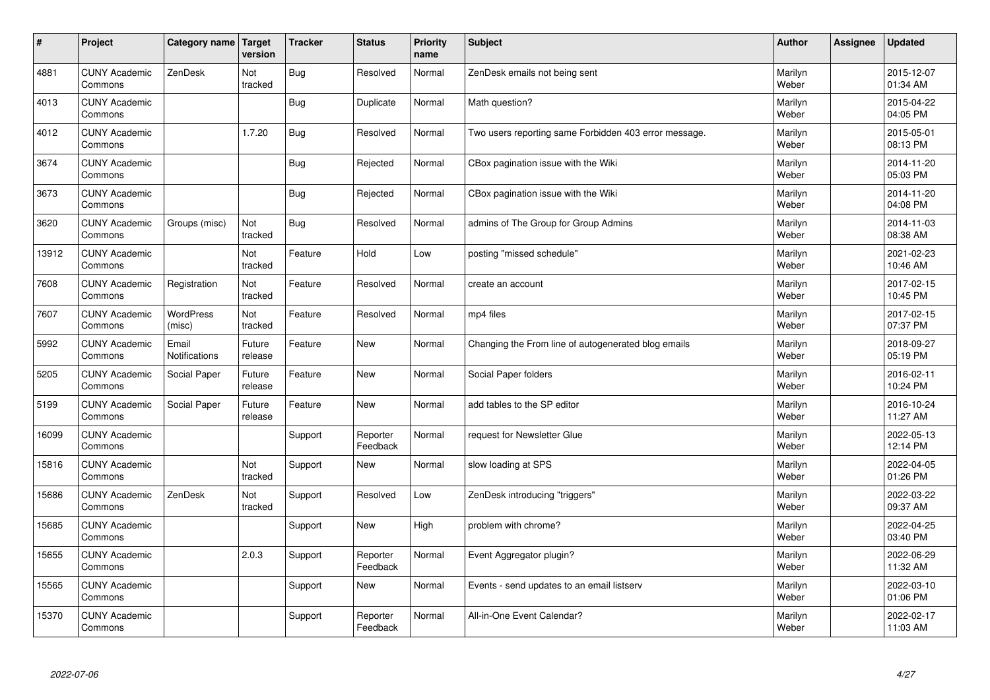| #     | Project                         | Category name   Target        | version           | <b>Tracker</b> | <b>Status</b>        | <b>Priority</b><br>name | <b>Subject</b>                                        | <b>Author</b>    | Assignee | <b>Updated</b>         |
|-------|---------------------------------|-------------------------------|-------------------|----------------|----------------------|-------------------------|-------------------------------------------------------|------------------|----------|------------------------|
| 4881  | <b>CUNY Academic</b><br>Commons | ZenDesk                       | Not<br>tracked    | Bug            | Resolved             | Normal                  | ZenDesk emails not being sent                         | Marilyn<br>Weber |          | 2015-12-07<br>01:34 AM |
| 4013  | <b>CUNY Academic</b><br>Commons |                               |                   | Bug            | Duplicate            | Normal                  | Math question?                                        | Marilyn<br>Weber |          | 2015-04-22<br>04:05 PM |
| 4012  | <b>CUNY Academic</b><br>Commons |                               | 1.7.20            | Bug            | Resolved             | Normal                  | Two users reporting same Forbidden 403 error message. | Marilyn<br>Weber |          | 2015-05-01<br>08:13 PM |
| 3674  | <b>CUNY Academic</b><br>Commons |                               |                   | Bug            | Rejected             | Normal                  | CBox pagination issue with the Wiki                   | Marilyn<br>Weber |          | 2014-11-20<br>05:03 PM |
| 3673  | <b>CUNY Academic</b><br>Commons |                               |                   | Bug            | Rejected             | Normal                  | CBox pagination issue with the Wiki                   | Marilyn<br>Weber |          | 2014-11-20<br>04:08 PM |
| 3620  | <b>CUNY Academic</b><br>Commons | Groups (misc)                 | Not<br>tracked    | Bug            | Resolved             | Normal                  | admins of The Group for Group Admins                  | Marilyn<br>Weber |          | 2014-11-03<br>08:38 AM |
| 13912 | <b>CUNY Academic</b><br>Commons |                               | Not<br>tracked    | Feature        | Hold                 | Low                     | posting "missed schedule"                             | Marilyn<br>Weber |          | 2021-02-23<br>10:46 AM |
| 7608  | <b>CUNY Academic</b><br>Commons | Registration                  | Not<br>tracked    | Feature        | Resolved             | Normal                  | create an account                                     | Marilyn<br>Weber |          | 2017-02-15<br>10:45 PM |
| 7607  | <b>CUNY Academic</b><br>Commons | <b>WordPress</b><br>(misc)    | Not<br>tracked    | Feature        | Resolved             | Normal                  | mp4 files                                             | Marilyn<br>Weber |          | 2017-02-15<br>07:37 PM |
| 5992  | <b>CUNY Academic</b><br>Commons | Email<br><b>Notifications</b> | Future<br>release | Feature        | <b>New</b>           | Normal                  | Changing the From line of autogenerated blog emails   | Marilyn<br>Weber |          | 2018-09-27<br>05:19 PM |
| 5205  | <b>CUNY Academic</b><br>Commons | Social Paper                  | Future<br>release | Feature        | <b>New</b>           | Normal                  | Social Paper folders                                  | Marilyn<br>Weber |          | 2016-02-11<br>10:24 PM |
| 5199  | <b>CUNY Academic</b><br>Commons | Social Paper                  | Future<br>release | Feature        | <b>New</b>           | Normal                  | add tables to the SP editor                           | Marilyn<br>Weber |          | 2016-10-24<br>11:27 AM |
| 16099 | <b>CUNY Academic</b><br>Commons |                               |                   | Support        | Reporter<br>Feedback | Normal                  | request for Newsletter Glue                           | Marilyn<br>Weber |          | 2022-05-13<br>12:14 PM |
| 15816 | <b>CUNY Academic</b><br>Commons |                               | Not<br>tracked    | Support        | <b>New</b>           | Normal                  | slow loading at SPS                                   | Marilyn<br>Weber |          | 2022-04-05<br>01:26 PM |
| 15686 | <b>CUNY Academic</b><br>Commons | ZenDesk                       | Not<br>tracked    | Support        | Resolved             | Low                     | ZenDesk introducing "triggers"                        | Marilyn<br>Weber |          | 2022-03-22<br>09:37 AM |
| 15685 | <b>CUNY Academic</b><br>Commons |                               |                   | Support        | <b>New</b>           | High                    | problem with chrome?                                  | Marilyn<br>Weber |          | 2022-04-25<br>03:40 PM |
| 15655 | <b>CUNY Academic</b><br>Commons |                               | 2.0.3             | Support        | Reporter<br>Feedback | Normal                  | Event Aggregator plugin?                              | Marilyn<br>Weber |          | 2022-06-29<br>11:32 AM |
| 15565 | <b>CUNY Academic</b><br>Commons |                               |                   | Support        | <b>New</b>           | Normal                  | Events - send updates to an email listserv            | Marilyn<br>Weber |          | 2022-03-10<br>01:06 PM |
| 15370 | <b>CUNY Academic</b><br>Commons |                               |                   | Support        | Reporter<br>Feedback | Normal                  | All-in-One Event Calendar?                            | Marilyn<br>Weber |          | 2022-02-17<br>11:03 AM |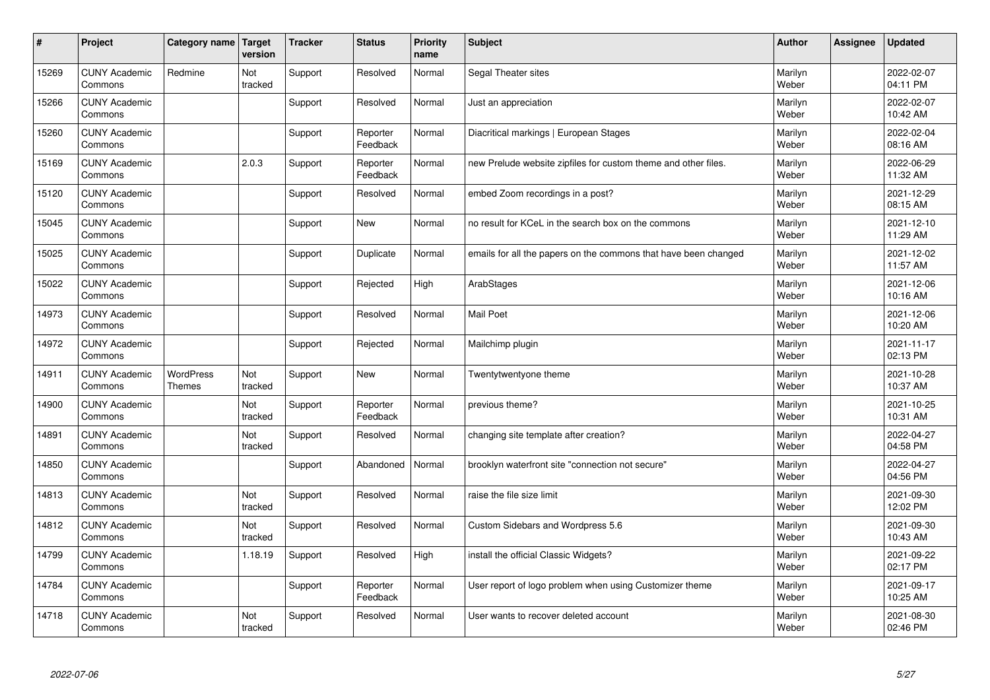| $\sharp$ | Project                         | Category name       | Target<br>version | <b>Tracker</b> | <b>Status</b>        | <b>Priority</b><br>name | <b>Subject</b>                                                  | <b>Author</b>    | Assignee | <b>Updated</b>         |
|----------|---------------------------------|---------------------|-------------------|----------------|----------------------|-------------------------|-----------------------------------------------------------------|------------------|----------|------------------------|
| 15269    | <b>CUNY Academic</b><br>Commons | Redmine             | Not<br>tracked    | Support        | Resolved             | Normal                  | Segal Theater sites                                             | Marilyn<br>Weber |          | 2022-02-07<br>04:11 PM |
| 15266    | <b>CUNY Academic</b><br>Commons |                     |                   | Support        | Resolved             | Normal                  | Just an appreciation                                            | Marilyn<br>Weber |          | 2022-02-07<br>10:42 AM |
| 15260    | <b>CUNY Academic</b><br>Commons |                     |                   | Support        | Reporter<br>Feedback | Normal                  | Diacritical markings   European Stages                          | Marilyn<br>Weber |          | 2022-02-04<br>08:16 AM |
| 15169    | <b>CUNY Academic</b><br>Commons |                     | 2.0.3             | Support        | Reporter<br>Feedback | Normal                  | new Prelude website zipfiles for custom theme and other files.  | Marilyn<br>Weber |          | 2022-06-29<br>11:32 AM |
| 15120    | <b>CUNY Academic</b><br>Commons |                     |                   | Support        | Resolved             | Normal                  | embed Zoom recordings in a post?                                | Marilyn<br>Weber |          | 2021-12-29<br>08:15 AM |
| 15045    | <b>CUNY Academic</b><br>Commons |                     |                   | Support        | <b>New</b>           | Normal                  | no result for KCeL in the search box on the commons             | Marilyn<br>Weber |          | 2021-12-10<br>11:29 AM |
| 15025    | <b>CUNY Academic</b><br>Commons |                     |                   | Support        | Duplicate            | Normal                  | emails for all the papers on the commons that have been changed | Marilyn<br>Weber |          | 2021-12-02<br>11:57 AM |
| 15022    | <b>CUNY Academic</b><br>Commons |                     |                   | Support        | Rejected             | High                    | ArabStages                                                      | Marilyn<br>Weber |          | 2021-12-06<br>10:16 AM |
| 14973    | <b>CUNY Academic</b><br>Commons |                     |                   | Support        | Resolved             | Normal                  | Mail Poet                                                       | Marilyn<br>Weber |          | 2021-12-06<br>10:20 AM |
| 14972    | <b>CUNY Academic</b><br>Commons |                     |                   | Support        | Rejected             | Normal                  | Mailchimp plugin                                                | Marilyn<br>Weber |          | 2021-11-17<br>02:13 PM |
| 14911    | <b>CUNY Academic</b><br>Commons | WordPress<br>Themes | Not<br>tracked    | Support        | New                  | Normal                  | Twentytwentyone theme                                           | Marilyn<br>Weber |          | 2021-10-28<br>10:37 AM |
| 14900    | <b>CUNY Academic</b><br>Commons |                     | Not<br>tracked    | Support        | Reporter<br>Feedback | Normal                  | previous theme?                                                 | Marilyn<br>Weber |          | 2021-10-25<br>10:31 AM |
| 14891    | <b>CUNY Academic</b><br>Commons |                     | Not<br>tracked    | Support        | Resolved             | Normal                  | changing site template after creation?                          | Marilyn<br>Weber |          | 2022-04-27<br>04:58 PM |
| 14850    | <b>CUNY Academic</b><br>Commons |                     |                   | Support        | Abandoned            | Normal                  | brooklyn waterfront site "connection not secure"                | Marilyn<br>Weber |          | 2022-04-27<br>04:56 PM |
| 14813    | <b>CUNY Academic</b><br>Commons |                     | Not<br>tracked    | Support        | Resolved             | Normal                  | raise the file size limit                                       | Marilyn<br>Weber |          | 2021-09-30<br>12:02 PM |
| 14812    | <b>CUNY Academic</b><br>Commons |                     | Not<br>tracked    | Support        | Resolved             | Normal                  | Custom Sidebars and Wordpress 5.6                               | Marilyn<br>Weber |          | 2021-09-30<br>10:43 AM |
| 14799    | <b>CUNY Academic</b><br>Commons |                     | 1.18.19           | Support        | Resolved             | High                    | install the official Classic Widgets?                           | Marilyn<br>Weber |          | 2021-09-22<br>02:17 PM |
| 14784    | <b>CUNY Academic</b><br>Commons |                     |                   | Support        | Reporter<br>Feedback | Normal                  | User report of logo problem when using Customizer theme         | Marilyn<br>Weber |          | 2021-09-17<br>10:25 AM |
| 14718    | <b>CUNY Academic</b><br>Commons |                     | Not<br>tracked    | Support        | Resolved             | Normal                  | User wants to recover deleted account                           | Marilyn<br>Weber |          | 2021-08-30<br>02:46 PM |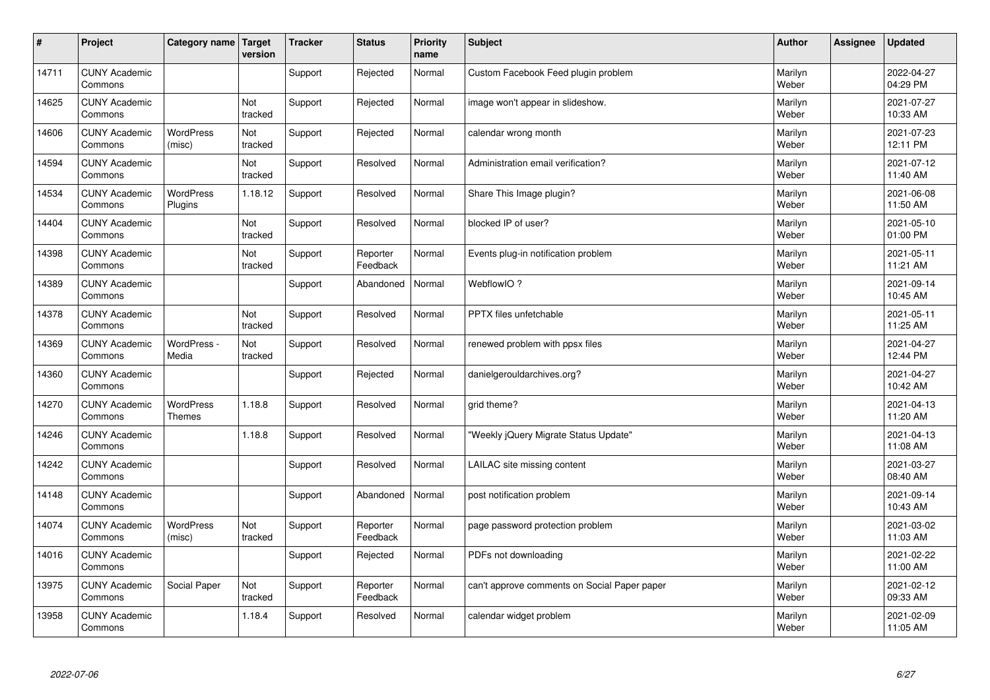| $\vert$ # | Project                         | Category name   Target     | version        | <b>Tracker</b> | <b>Status</b>        | <b>Priority</b><br>name | <b>Subject</b>                               | <b>Author</b>    | <b>Assignee</b> | <b>Updated</b>         |
|-----------|---------------------------------|----------------------------|----------------|----------------|----------------------|-------------------------|----------------------------------------------|------------------|-----------------|------------------------|
| 14711     | <b>CUNY Academic</b><br>Commons |                            |                | Support        | Rejected             | Normal                  | Custom Facebook Feed plugin problem          | Marilyn<br>Weber |                 | 2022-04-27<br>04:29 PM |
| 14625     | <b>CUNY Academic</b><br>Commons |                            | Not<br>tracked | Support        | Rejected             | Normal                  | image won't appear in slideshow.             | Marilyn<br>Weber |                 | 2021-07-27<br>10:33 AM |
| 14606     | <b>CUNY Academic</b><br>Commons | <b>WordPress</b><br>(misc) | Not<br>tracked | Support        | Rejected             | Normal                  | calendar wrong month                         | Marilyn<br>Weber |                 | 2021-07-23<br>12:11 PM |
| 14594     | <b>CUNY Academic</b><br>Commons |                            | Not<br>tracked | Support        | Resolved             | Normal                  | Administration email verification?           | Marilyn<br>Weber |                 | 2021-07-12<br>11:40 AM |
| 14534     | <b>CUNY Academic</b><br>Commons | WordPress<br>Plugins       | 1.18.12        | Support        | Resolved             | Normal                  | Share This Image plugin?                     | Marilyn<br>Weber |                 | 2021-06-08<br>11:50 AM |
| 14404     | <b>CUNY Academic</b><br>Commons |                            | Not<br>tracked | Support        | Resolved             | Normal                  | blocked IP of user?                          | Marilyn<br>Weber |                 | 2021-05-10<br>01:00 PM |
| 14398     | <b>CUNY Academic</b><br>Commons |                            | Not<br>tracked | Support        | Reporter<br>Feedback | Normal                  | Events plug-in notification problem          | Marilyn<br>Weber |                 | 2021-05-11<br>11:21 AM |
| 14389     | <b>CUNY Academic</b><br>Commons |                            |                | Support        | Abandoned            | Normal                  | WebflowIO?                                   | Marilyn<br>Weber |                 | 2021-09-14<br>10:45 AM |
| 14378     | <b>CUNY Academic</b><br>Commons |                            | Not<br>tracked | Support        | Resolved             | Normal                  | <b>PPTX</b> files unfetchable                | Marilyn<br>Weber |                 | 2021-05-11<br>11:25 AM |
| 14369     | <b>CUNY Academic</b><br>Commons | WordPress -<br>Media       | Not<br>tracked | Support        | Resolved             | Normal                  | renewed problem with ppsx files              | Marilyn<br>Weber |                 | 2021-04-27<br>12:44 PM |
| 14360     | <b>CUNY Academic</b><br>Commons |                            |                | Support        | Rejected             | Normal                  | danielgerouldarchives.org?                   | Marilyn<br>Weber |                 | 2021-04-27<br>10:42 AM |
| 14270     | <b>CUNY Academic</b><br>Commons | WordPress<br>Themes        | 1.18.8         | Support        | Resolved             | Normal                  | grid theme?                                  | Marilyn<br>Weber |                 | 2021-04-13<br>11:20 AM |
| 14246     | <b>CUNY Academic</b><br>Commons |                            | 1.18.8         | Support        | Resolved             | Normal                  | 'Weekly jQuery Migrate Status Update"        | Marilyn<br>Weber |                 | 2021-04-13<br>11:08 AM |
| 14242     | <b>CUNY Academic</b><br>Commons |                            |                | Support        | Resolved             | Normal                  | LAILAC site missing content                  | Marilyn<br>Weber |                 | 2021-03-27<br>08:40 AM |
| 14148     | <b>CUNY Academic</b><br>Commons |                            |                | Support        | Abandoned            | Normal                  | post notification problem                    | Marilyn<br>Weber |                 | 2021-09-14<br>10:43 AM |
| 14074     | <b>CUNY Academic</b><br>Commons | <b>WordPress</b><br>(misc) | Not<br>tracked | Support        | Reporter<br>Feedback | Normal                  | page password protection problem             | Marilyn<br>Weber |                 | 2021-03-02<br>11:03 AM |
| 14016     | <b>CUNY Academic</b><br>Commons |                            |                | Support        | Rejected             | Normal                  | PDFs not downloading                         | Marilyn<br>Weber |                 | 2021-02-22<br>11:00 AM |
| 13975     | <b>CUNY Academic</b><br>Commons | Social Paper               | Not<br>tracked | Support        | Reporter<br>Feedback | Normal                  | can't approve comments on Social Paper paper | Marilyn<br>Weber |                 | 2021-02-12<br>09:33 AM |
| 13958     | <b>CUNY Academic</b><br>Commons |                            | 1.18.4         | Support        | Resolved             | Normal                  | calendar widget problem                      | Marilyn<br>Weber |                 | 2021-02-09<br>11:05 AM |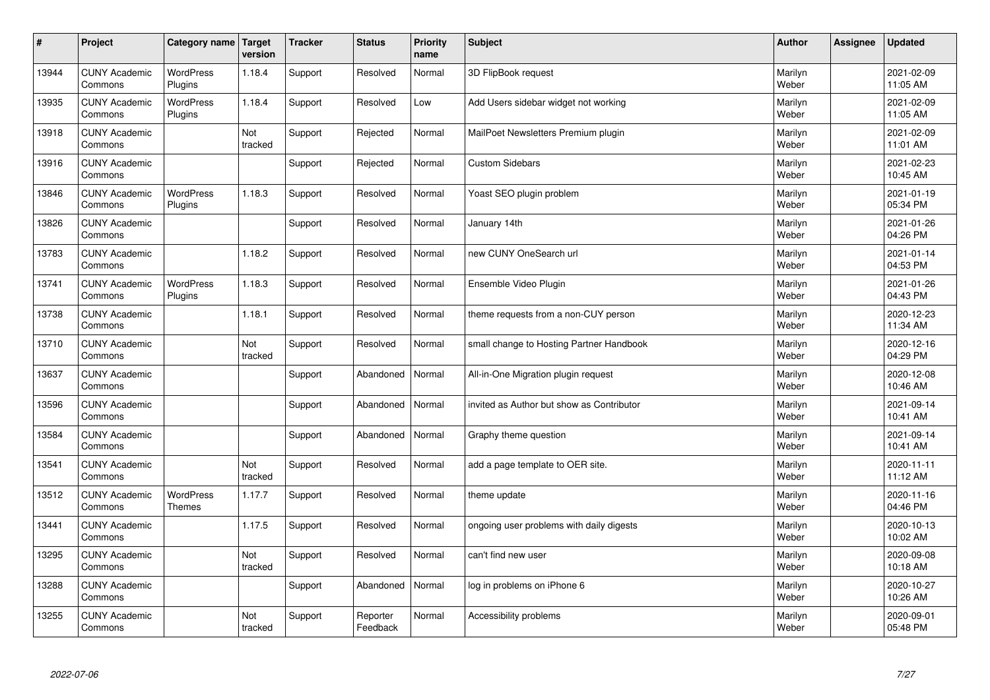| $\sharp$ | Project                         | Category name                     | Target<br>version | <b>Tracker</b> | <b>Status</b>        | <b>Priority</b><br>name | <b>Subject</b>                            | <b>Author</b>    | Assignee | <b>Updated</b>         |
|----------|---------------------------------|-----------------------------------|-------------------|----------------|----------------------|-------------------------|-------------------------------------------|------------------|----------|------------------------|
| 13944    | <b>CUNY Academic</b><br>Commons | <b>WordPress</b><br>Plugins       | 1.18.4            | Support        | Resolved             | Normal                  | 3D FlipBook request                       | Marilyn<br>Weber |          | 2021-02-09<br>11:05 AM |
| 13935    | <b>CUNY Academic</b><br>Commons | <b>WordPress</b><br>Plugins       | 1.18.4            | Support        | Resolved             | Low                     | Add Users sidebar widget not working      | Marilyn<br>Weber |          | 2021-02-09<br>11:05 AM |
| 13918    | <b>CUNY Academic</b><br>Commons |                                   | Not<br>tracked    | Support        | Rejected             | Normal                  | MailPoet Newsletters Premium plugin       | Marilyn<br>Weber |          | 2021-02-09<br>11:01 AM |
| 13916    | <b>CUNY Academic</b><br>Commons |                                   |                   | Support        | Rejected             | Normal                  | <b>Custom Sidebars</b>                    | Marilyn<br>Weber |          | 2021-02-23<br>10:45 AM |
| 13846    | <b>CUNY Academic</b><br>Commons | <b>WordPress</b><br>Plugins       | 1.18.3            | Support        | Resolved             | Normal                  | Yoast SEO plugin problem                  | Marilyn<br>Weber |          | 2021-01-19<br>05:34 PM |
| 13826    | <b>CUNY Academic</b><br>Commons |                                   |                   | Support        | Resolved             | Normal                  | January 14th                              | Marilyn<br>Weber |          | 2021-01-26<br>04:26 PM |
| 13783    | <b>CUNY Academic</b><br>Commons |                                   | 1.18.2            | Support        | Resolved             | Normal                  | new CUNY OneSearch url                    | Marilyn<br>Weber |          | 2021-01-14<br>04:53 PM |
| 13741    | <b>CUNY Academic</b><br>Commons | <b>WordPress</b><br>Plugins       | 1.18.3            | Support        | Resolved             | Normal                  | Ensemble Video Plugin                     | Marilyn<br>Weber |          | 2021-01-26<br>04:43 PM |
| 13738    | <b>CUNY Academic</b><br>Commons |                                   | 1.18.1            | Support        | Resolved             | Normal                  | theme requests from a non-CUY person      | Marilyn<br>Weber |          | 2020-12-23<br>11:34 AM |
| 13710    | <b>CUNY Academic</b><br>Commons |                                   | Not<br>tracked    | Support        | Resolved             | Normal                  | small change to Hosting Partner Handbook  | Marilyn<br>Weber |          | 2020-12-16<br>04:29 PM |
| 13637    | <b>CUNY Academic</b><br>Commons |                                   |                   | Support        | Abandoned            | Normal                  | All-in-One Migration plugin request       | Marilyn<br>Weber |          | 2020-12-08<br>10:46 AM |
| 13596    | <b>CUNY Academic</b><br>Commons |                                   |                   | Support        | Abandoned            | Normal                  | invited as Author but show as Contributor | Marilyn<br>Weber |          | 2021-09-14<br>10:41 AM |
| 13584    | <b>CUNY Academic</b><br>Commons |                                   |                   | Support        | Abandoned            | Normal                  | Graphy theme question                     | Marilyn<br>Weber |          | 2021-09-14<br>10:41 AM |
| 13541    | <b>CUNY Academic</b><br>Commons |                                   | Not<br>tracked    | Support        | Resolved             | Normal                  | add a page template to OER site.          | Marilyn<br>Weber |          | 2020-11-11<br>11:12 AM |
| 13512    | <b>CUNY Academic</b><br>Commons | <b>WordPress</b><br><b>Themes</b> | 1.17.7            | Support        | Resolved             | Normal                  | theme update                              | Marilyn<br>Weber |          | 2020-11-16<br>04:46 PM |
| 13441    | <b>CUNY Academic</b><br>Commons |                                   | 1.17.5            | Support        | Resolved             | Normal                  | ongoing user problems with daily digests  | Marilyn<br>Weber |          | 2020-10-13<br>10:02 AM |
| 13295    | <b>CUNY Academic</b><br>Commons |                                   | Not<br>tracked    | Support        | Resolved             | Normal                  | can't find new user                       | Marilyn<br>Weber |          | 2020-09-08<br>10:18 AM |
| 13288    | <b>CUNY Academic</b><br>Commons |                                   |                   | Support        | Abandoned            | Normal                  | log in problems on iPhone 6               | Marilyn<br>Weber |          | 2020-10-27<br>10:26 AM |
| 13255    | <b>CUNY Academic</b><br>Commons |                                   | Not<br>tracked    | Support        | Reporter<br>Feedback | Normal                  | Accessibility problems                    | Marilyn<br>Weber |          | 2020-09-01<br>05:48 PM |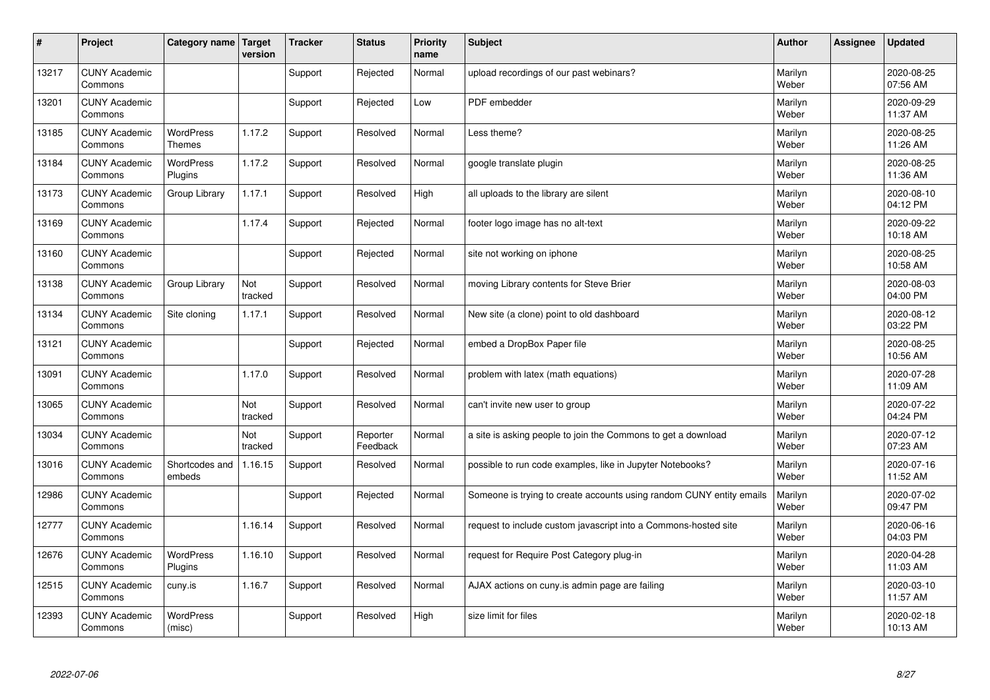| #     | Project                         | Category name                     | Target<br>version | <b>Tracker</b> | <b>Status</b>        | <b>Priority</b><br>name | <b>Subject</b>                                                       | <b>Author</b>    | Assignee | <b>Updated</b>         |
|-------|---------------------------------|-----------------------------------|-------------------|----------------|----------------------|-------------------------|----------------------------------------------------------------------|------------------|----------|------------------------|
| 13217 | <b>CUNY Academic</b><br>Commons |                                   |                   | Support        | Rejected             | Normal                  | upload recordings of our past webinars?                              | Marilyn<br>Weber |          | 2020-08-25<br>07:56 AM |
| 13201 | <b>CUNY Academic</b><br>Commons |                                   |                   | Support        | Rejected             | Low                     | PDF embedder                                                         | Marilyn<br>Weber |          | 2020-09-29<br>11:37 AM |
| 13185 | <b>CUNY Academic</b><br>Commons | <b>WordPress</b><br><b>Themes</b> | 1.17.2            | Support        | Resolved             | Normal                  | Less theme?                                                          | Marilyn<br>Weber |          | 2020-08-25<br>11:26 AM |
| 13184 | <b>CUNY Academic</b><br>Commons | <b>WordPress</b><br>Plugins       | 1.17.2            | Support        | Resolved             | Normal                  | google translate plugin                                              | Marilyn<br>Weber |          | 2020-08-25<br>11:36 AM |
| 13173 | <b>CUNY Academic</b><br>Commons | Group Library                     | 1.17.1            | Support        | Resolved             | High                    | all uploads to the library are silent                                | Marilyn<br>Weber |          | 2020-08-10<br>04:12 PM |
| 13169 | <b>CUNY Academic</b><br>Commons |                                   | 1.17.4            | Support        | Rejected             | Normal                  | footer logo image has no alt-text                                    | Marilyn<br>Weber |          | 2020-09-22<br>10:18 AM |
| 13160 | <b>CUNY Academic</b><br>Commons |                                   |                   | Support        | Rejected             | Normal                  | site not working on iphone                                           | Marilyn<br>Weber |          | 2020-08-25<br>10:58 AM |
| 13138 | <b>CUNY Academic</b><br>Commons | Group Library                     | Not<br>tracked    | Support        | Resolved             | Normal                  | moving Library contents for Steve Brier                              | Marilyn<br>Weber |          | 2020-08-03<br>04:00 PM |
| 13134 | <b>CUNY Academic</b><br>Commons | Site cloning                      | 1.17.1            | Support        | Resolved             | Normal                  | New site (a clone) point to old dashboard                            | Marilyn<br>Weber |          | 2020-08-12<br>03:22 PM |
| 13121 | <b>CUNY Academic</b><br>Commons |                                   |                   | Support        | Rejected             | Normal                  | embed a DropBox Paper file                                           | Marilyn<br>Weber |          | 2020-08-25<br>10:56 AM |
| 13091 | <b>CUNY Academic</b><br>Commons |                                   | 1.17.0            | Support        | Resolved             | Normal                  | problem with latex (math equations)                                  | Marilyn<br>Weber |          | 2020-07-28<br>11:09 AM |
| 13065 | <b>CUNY Academic</b><br>Commons |                                   | Not<br>tracked    | Support        | Resolved             | Normal                  | can't invite new user to group                                       | Marilyn<br>Weber |          | 2020-07-22<br>04:24 PM |
| 13034 | <b>CUNY Academic</b><br>Commons |                                   | Not<br>tracked    | Support        | Reporter<br>Feedback | Normal                  | a site is asking people to join the Commons to get a download        | Marilyn<br>Weber |          | 2020-07-12<br>07:23 AM |
| 13016 | <b>CUNY Academic</b><br>Commons | Shortcodes and<br>embeds          | 1.16.15           | Support        | Resolved             | Normal                  | possible to run code examples, like in Jupyter Notebooks?            | Marilyn<br>Weber |          | 2020-07-16<br>11:52 AM |
| 12986 | <b>CUNY Academic</b><br>Commons |                                   |                   | Support        | Rejected             | Normal                  | Someone is trying to create accounts using random CUNY entity emails | Marilyn<br>Weber |          | 2020-07-02<br>09:47 PM |
| 12777 | <b>CUNY Academic</b><br>Commons |                                   | 1.16.14           | Support        | Resolved             | Normal                  | request to include custom javascript into a Commons-hosted site      | Marilyn<br>Weber |          | 2020-06-16<br>04:03 PM |
| 12676 | <b>CUNY Academic</b><br>Commons | WordPress<br>Plugins              | 1.16.10           | Support        | Resolved             | Normal                  | request for Require Post Category plug-in                            | Marilyn<br>Weber |          | 2020-04-28<br>11:03 AM |
| 12515 | <b>CUNY Academic</b><br>Commons | cuny.is                           | 1.16.7            | Support        | Resolved             | Normal                  | AJAX actions on cuny.is admin page are failing                       | Marilyn<br>Weber |          | 2020-03-10<br>11:57 AM |
| 12393 | <b>CUNY Academic</b><br>Commons | <b>WordPress</b><br>(misc)        |                   | Support        | Resolved             | High                    | size limit for files                                                 | Marilyn<br>Weber |          | 2020-02-18<br>10:13 AM |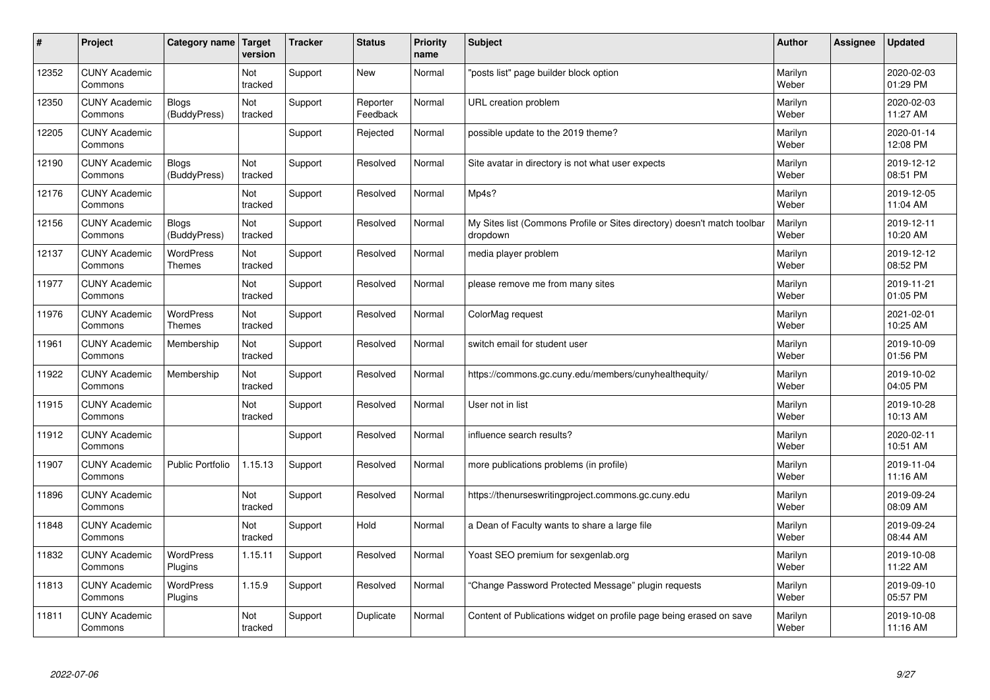| #     | Project                         | Category name                     | Target<br>version | <b>Tracker</b> | <b>Status</b>        | <b>Priority</b><br>name | <b>Subject</b>                                                                       | <b>Author</b>    | Assignee | <b>Updated</b>         |
|-------|---------------------------------|-----------------------------------|-------------------|----------------|----------------------|-------------------------|--------------------------------------------------------------------------------------|------------------|----------|------------------------|
| 12352 | <b>CUNY Academic</b><br>Commons |                                   | Not<br>tracked    | Support        | <b>New</b>           | Normal                  | "posts list" page builder block option                                               | Marilyn<br>Weber |          | 2020-02-03<br>01:29 PM |
| 12350 | <b>CUNY Academic</b><br>Commons | <b>Blogs</b><br>(BuddyPress)      | Not<br>tracked    | Support        | Reporter<br>Feedback | Normal                  | URL creation problem                                                                 | Marilyn<br>Weber |          | 2020-02-03<br>11:27 AM |
| 12205 | <b>CUNY Academic</b><br>Commons |                                   |                   | Support        | Rejected             | Normal                  | possible update to the 2019 theme?                                                   | Marilyn<br>Weber |          | 2020-01-14<br>12:08 PM |
| 12190 | <b>CUNY Academic</b><br>Commons | <b>Blogs</b><br>(BuddyPress)      | Not<br>tracked    | Support        | Resolved             | Normal                  | Site avatar in directory is not what user expects                                    | Marilyn<br>Weber |          | 2019-12-12<br>08:51 PM |
| 12176 | <b>CUNY Academic</b><br>Commons |                                   | Not<br>tracked    | Support        | Resolved             | Normal                  | Mp4s?                                                                                | Marilyn<br>Weber |          | 2019-12-05<br>11:04 AM |
| 12156 | <b>CUNY Academic</b><br>Commons | Blogs<br>(BuddyPress)             | Not<br>tracked    | Support        | Resolved             | Normal                  | My Sites list (Commons Profile or Sites directory) doesn't match toolbar<br>dropdown | Marilyn<br>Weber |          | 2019-12-11<br>10:20 AM |
| 12137 | <b>CUNY Academic</b><br>Commons | <b>WordPress</b><br><b>Themes</b> | Not<br>tracked    | Support        | Resolved             | Normal                  | media player problem                                                                 | Marilyn<br>Weber |          | 2019-12-12<br>08:52 PM |
| 11977 | <b>CUNY Academic</b><br>Commons |                                   | Not<br>tracked    | Support        | Resolved             | Normal                  | please remove me from many sites                                                     | Marilyn<br>Weber |          | 2019-11-21<br>01:05 PM |
| 11976 | <b>CUNY Academic</b><br>Commons | <b>WordPress</b><br><b>Themes</b> | Not<br>tracked    | Support        | Resolved             | Normal                  | ColorMag request                                                                     | Marilyn<br>Weber |          | 2021-02-01<br>10:25 AM |
| 11961 | <b>CUNY Academic</b><br>Commons | Membership                        | Not<br>tracked    | Support        | Resolved             | Normal                  | switch email for student user                                                        | Marilyn<br>Weber |          | 2019-10-09<br>01:56 PM |
| 11922 | <b>CUNY Academic</b><br>Commons | Membership                        | Not<br>tracked    | Support        | Resolved             | Normal                  | https://commons.gc.cuny.edu/members/cunyhealthequity/                                | Marilyn<br>Weber |          | 2019-10-02<br>04:05 PM |
| 11915 | <b>CUNY Academic</b><br>Commons |                                   | Not<br>tracked    | Support        | Resolved             | Normal                  | User not in list                                                                     | Marilyn<br>Weber |          | 2019-10-28<br>10:13 AM |
| 11912 | <b>CUNY Academic</b><br>Commons |                                   |                   | Support        | Resolved             | Normal                  | influence search results?                                                            | Marilyn<br>Weber |          | 2020-02-11<br>10:51 AM |
| 11907 | <b>CUNY Academic</b><br>Commons | <b>Public Portfolio</b>           | 1.15.13           | Support        | Resolved             | Normal                  | more publications problems (in profile)                                              | Marilyn<br>Weber |          | 2019-11-04<br>11:16 AM |
| 11896 | <b>CUNY Academic</b><br>Commons |                                   | Not<br>tracked    | Support        | Resolved             | Normal                  | https://thenurseswritingproject.commons.gc.cuny.edu                                  | Marilyn<br>Weber |          | 2019-09-24<br>08:09 AM |
| 11848 | <b>CUNY Academic</b><br>Commons |                                   | Not<br>tracked    | Support        | Hold                 | Normal                  | a Dean of Faculty wants to share a large file                                        | Marilyn<br>Weber |          | 2019-09-24<br>08:44 AM |
| 11832 | <b>CUNY Academic</b><br>Commons | WordPress<br>Plugins              | 1.15.11           | Support        | Resolved             | Normal                  | Yoast SEO premium for sexgenlab.org                                                  | Marilyn<br>Weber |          | 2019-10-08<br>11:22 AM |
| 11813 | <b>CUNY Academic</b><br>Commons | <b>WordPress</b><br>Plugins       | 1.15.9            | Support        | Resolved             | Normal                  | 'Change Password Protected Message" plugin requests                                  | Marilyn<br>Weber |          | 2019-09-10<br>05:57 PM |
| 11811 | <b>CUNY Academic</b><br>Commons |                                   | Not<br>tracked    | Support        | Duplicate            | Normal                  | Content of Publications widget on profile page being erased on save                  | Marilyn<br>Weber |          | 2019-10-08<br>11:16 AM |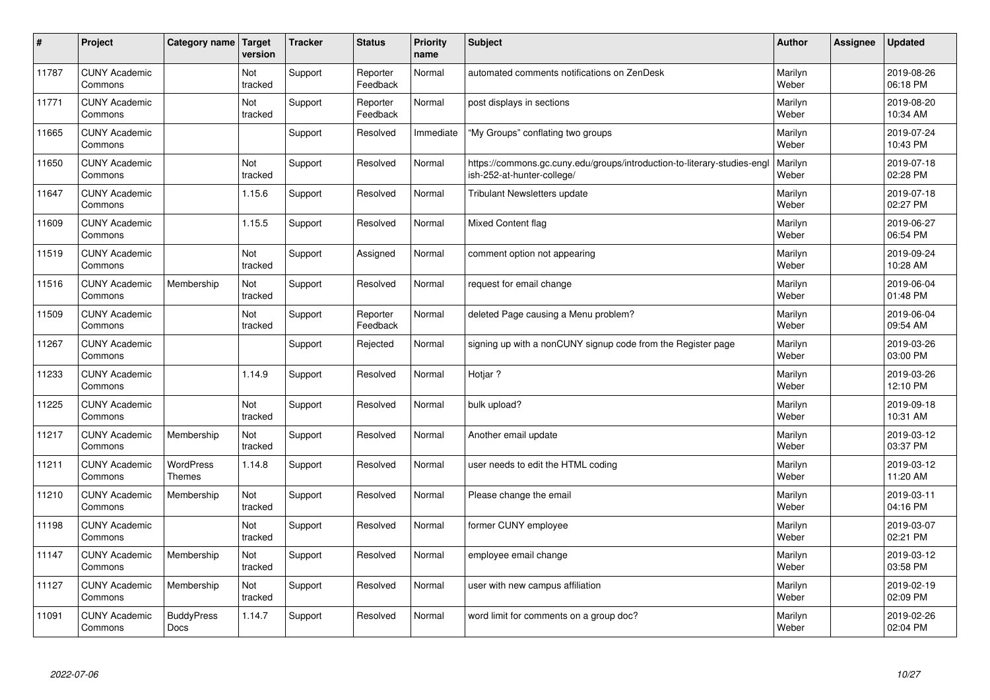| $\vert$ # | Project                         | Category name   Target            | version        | <b>Tracker</b> | <b>Status</b>        | <b>Priority</b><br>name | <b>Subject</b>                                                                                         | <b>Author</b>    | Assignee | <b>Updated</b>         |
|-----------|---------------------------------|-----------------------------------|----------------|----------------|----------------------|-------------------------|--------------------------------------------------------------------------------------------------------|------------------|----------|------------------------|
| 11787     | <b>CUNY Academic</b><br>Commons |                                   | Not<br>tracked | Support        | Reporter<br>Feedback | Normal                  | automated comments notifications on ZenDesk                                                            | Marilyn<br>Weber |          | 2019-08-26<br>06:18 PM |
| 11771     | <b>CUNY Academic</b><br>Commons |                                   | Not<br>tracked | Support        | Reporter<br>Feedback | Normal                  | post displays in sections                                                                              | Marilyn<br>Weber |          | 2019-08-20<br>10:34 AM |
| 11665     | <b>CUNY Academic</b><br>Commons |                                   |                | Support        | Resolved             | Immediate               | "My Groups" conflating two groups                                                                      | Marilyn<br>Weber |          | 2019-07-24<br>10:43 PM |
| 11650     | <b>CUNY Academic</b><br>Commons |                                   | Not<br>tracked | Support        | Resolved             | Normal                  | https://commons.gc.cuny.edu/groups/introduction-to-literary-studies-engl<br>ish-252-at-hunter-college/ | Marilyn<br>Weber |          | 2019-07-18<br>02:28 PM |
| 11647     | <b>CUNY Academic</b><br>Commons |                                   | 1.15.6         | Support        | Resolved             | Normal                  | <b>Tribulant Newsletters update</b>                                                                    | Marilyn<br>Weber |          | 2019-07-18<br>02:27 PM |
| 11609     | <b>CUNY Academic</b><br>Commons |                                   | 1.15.5         | Support        | Resolved             | Normal                  | Mixed Content flag                                                                                     | Marilyn<br>Weber |          | 2019-06-27<br>06:54 PM |
| 11519     | <b>CUNY Academic</b><br>Commons |                                   | Not<br>tracked | Support        | Assigned             | Normal                  | comment option not appearing                                                                           | Marilyn<br>Weber |          | 2019-09-24<br>10:28 AM |
| 11516     | <b>CUNY Academic</b><br>Commons | Membership                        | Not<br>tracked | Support        | Resolved             | Normal                  | request for email change                                                                               | Marilyn<br>Weber |          | 2019-06-04<br>01:48 PM |
| 11509     | <b>CUNY Academic</b><br>Commons |                                   | Not<br>tracked | Support        | Reporter<br>Feedback | Normal                  | deleted Page causing a Menu problem?                                                                   | Marilyn<br>Weber |          | 2019-06-04<br>09:54 AM |
| 11267     | <b>CUNY Academic</b><br>Commons |                                   |                | Support        | Rejected             | Normal                  | signing up with a nonCUNY signup code from the Register page                                           | Marilyn<br>Weber |          | 2019-03-26<br>03:00 PM |
| 11233     | <b>CUNY Academic</b><br>Commons |                                   | 1.14.9         | Support        | Resolved             | Normal                  | Hotjar ?                                                                                               | Marilyn<br>Weber |          | 2019-03-26<br>12:10 PM |
| 11225     | <b>CUNY Academic</b><br>Commons |                                   | Not<br>tracked | Support        | Resolved             | Normal                  | bulk upload?                                                                                           | Marilyn<br>Weber |          | 2019-09-18<br>10:31 AM |
| 11217     | <b>CUNY Academic</b><br>Commons | Membership                        | Not<br>tracked | Support        | Resolved             | Normal                  | Another email update                                                                                   | Marilyn<br>Weber |          | 2019-03-12<br>03:37 PM |
| 11211     | <b>CUNY Academic</b><br>Commons | <b>WordPress</b><br><b>Themes</b> | 1.14.8         | Support        | Resolved             | Normal                  | user needs to edit the HTML coding                                                                     | Marilyn<br>Weber |          | 2019-03-12<br>11:20 AM |
| 11210     | <b>CUNY Academic</b><br>Commons | Membership                        | Not<br>tracked | Support        | Resolved             | Normal                  | Please change the email                                                                                | Marilyn<br>Weber |          | 2019-03-11<br>04:16 PM |
| 11198     | <b>CUNY Academic</b><br>Commons |                                   | Not<br>tracked | Support        | Resolved             | Normal                  | former CUNY employee                                                                                   | Marilyn<br>Weber |          | 2019-03-07<br>02:21 PM |
| 11147     | <b>CUNY Academic</b><br>Commons | Membership                        | Not<br>tracked | Support        | Resolved             | Normal                  | employee email change                                                                                  | Marilyn<br>Weber |          | 2019-03-12<br>03:58 PM |
| 11127     | <b>CUNY Academic</b><br>Commons | Membership                        | Not<br>tracked | Support        | Resolved             | Normal                  | user with new campus affiliation                                                                       | Marilyn<br>Weber |          | 2019-02-19<br>02:09 PM |
| 11091     | <b>CUNY Academic</b><br>Commons | <b>BuddyPress</b><br><b>Docs</b>  | 1.14.7         | Support        | Resolved             | Normal                  | word limit for comments on a group doc?                                                                | Marilyn<br>Weber |          | 2019-02-26<br>02:04 PM |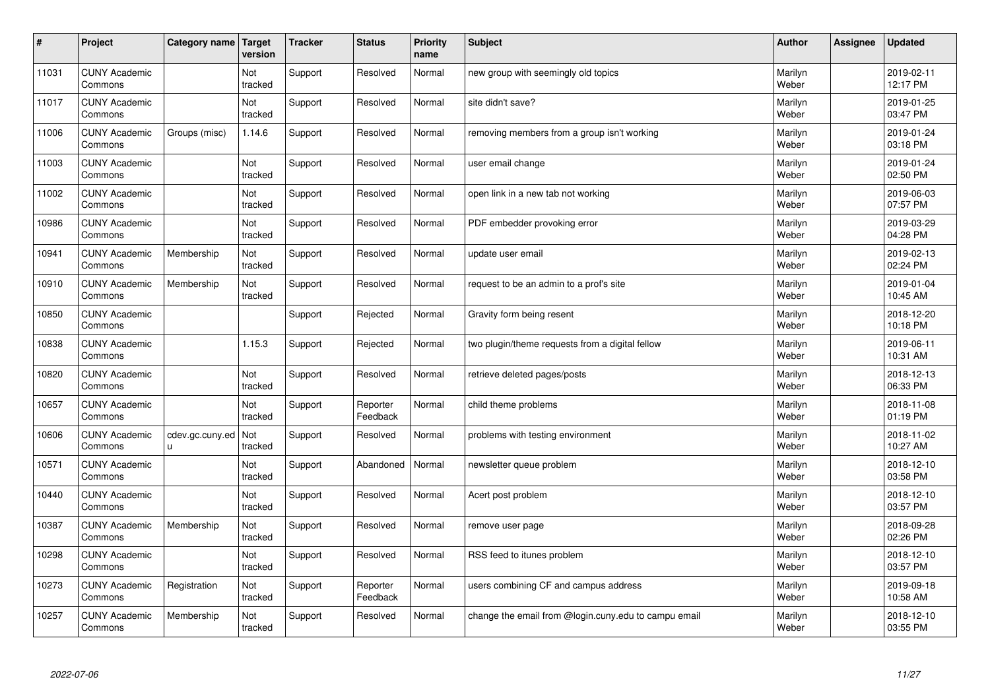| $\sharp$ | Project                         | Category name         | Target<br>version | <b>Tracker</b> | <b>Status</b>        | <b>Priority</b><br>name | <b>Subject</b>                                       | <b>Author</b>    | Assignee | <b>Updated</b>         |
|----------|---------------------------------|-----------------------|-------------------|----------------|----------------------|-------------------------|------------------------------------------------------|------------------|----------|------------------------|
| 11031    | <b>CUNY Academic</b><br>Commons |                       | Not<br>tracked    | Support        | Resolved             | Normal                  | new group with seemingly old topics                  | Marilyn<br>Weber |          | 2019-02-11<br>12:17 PM |
| 11017    | <b>CUNY Academic</b><br>Commons |                       | Not<br>tracked    | Support        | Resolved             | Normal                  | site didn't save?                                    | Marilyn<br>Weber |          | 2019-01-25<br>03:47 PM |
| 11006    | <b>CUNY Academic</b><br>Commons | Groups (misc)         | 1.14.6            | Support        | Resolved             | Normal                  | removing members from a group isn't working          | Marilyn<br>Weber |          | 2019-01-24<br>03:18 PM |
| 11003    | <b>CUNY Academic</b><br>Commons |                       | Not<br>tracked    | Support        | Resolved             | Normal                  | user email change                                    | Marilyn<br>Weber |          | 2019-01-24<br>02:50 PM |
| 11002    | <b>CUNY Academic</b><br>Commons |                       | Not<br>tracked    | Support        | Resolved             | Normal                  | open link in a new tab not working                   | Marilyn<br>Weber |          | 2019-06-03<br>07:57 PM |
| 10986    | <b>CUNY Academic</b><br>Commons |                       | Not<br>tracked    | Support        | Resolved             | Normal                  | PDF embedder provoking error                         | Marilyn<br>Weber |          | 2019-03-29<br>04:28 PM |
| 10941    | <b>CUNY Academic</b><br>Commons | Membership            | Not<br>tracked    | Support        | Resolved             | Normal                  | update user email                                    | Marilyn<br>Weber |          | 2019-02-13<br>02:24 PM |
| 10910    | <b>CUNY Academic</b><br>Commons | Membership            | Not<br>tracked    | Support        | Resolved             | Normal                  | request to be an admin to a prof's site              | Marilyn<br>Weber |          | 2019-01-04<br>10:45 AM |
| 10850    | <b>CUNY Academic</b><br>Commons |                       |                   | Support        | Rejected             | Normal                  | Gravity form being resent                            | Marilyn<br>Weber |          | 2018-12-20<br>10:18 PM |
| 10838    | <b>CUNY Academic</b><br>Commons |                       | 1.15.3            | Support        | Rejected             | Normal                  | two plugin/theme requests from a digital fellow      | Marilyn<br>Weber |          | 2019-06-11<br>10:31 AM |
| 10820    | <b>CUNY Academic</b><br>Commons |                       | Not<br>tracked    | Support        | Resolved             | Normal                  | retrieve deleted pages/posts                         | Marilyn<br>Weber |          | 2018-12-13<br>06:33 PM |
| 10657    | <b>CUNY Academic</b><br>Commons |                       | Not<br>tracked    | Support        | Reporter<br>Feedback | Normal                  | child theme problems                                 | Marilyn<br>Weber |          | 2018-11-08<br>01:19 PM |
| 10606    | <b>CUNY Academic</b><br>Commons | cdev.gc.cuny.ed<br>u. | Not<br>tracked    | Support        | Resolved             | Normal                  | problems with testing environment                    | Marilyn<br>Weber |          | 2018-11-02<br>10:27 AM |
| 10571    | <b>CUNY Academic</b><br>Commons |                       | Not<br>tracked    | Support        | Abandoned            | Normal                  | newsletter queue problem                             | Marilyn<br>Weber |          | 2018-12-10<br>03:58 PM |
| 10440    | <b>CUNY Academic</b><br>Commons |                       | Not<br>tracked    | Support        | Resolved             | Normal                  | Acert post problem                                   | Marilyn<br>Weber |          | 2018-12-10<br>03:57 PM |
| 10387    | <b>CUNY Academic</b><br>Commons | Membership            | Not<br>tracked    | Support        | Resolved             | Normal                  | remove user page                                     | Marilyn<br>Weber |          | 2018-09-28<br>02:26 PM |
| 10298    | <b>CUNY Academic</b><br>Commons |                       | Not<br>tracked    | Support        | Resolved             | Normal                  | RSS feed to itunes problem                           | Marilyn<br>Weber |          | 2018-12-10<br>03:57 PM |
| 10273    | <b>CUNY Academic</b><br>Commons | Registration          | Not<br>tracked    | Support        | Reporter<br>Feedback | Normal                  | users combining CF and campus address                | Marilyn<br>Weber |          | 2019-09-18<br>10:58 AM |
| 10257    | <b>CUNY Academic</b><br>Commons | Membership            | Not<br>tracked    | Support        | Resolved             | Normal                  | change the email from @login.cuny.edu to campu email | Marilyn<br>Weber |          | 2018-12-10<br>03:55 PM |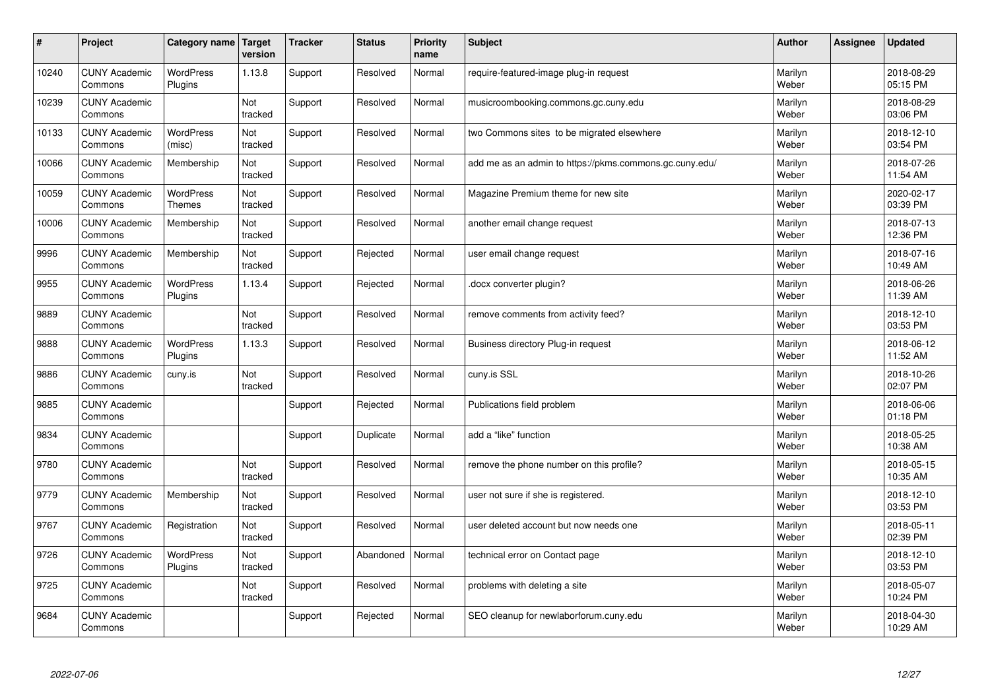| #     | Project                         | Category name                     | Target<br>version | <b>Tracker</b> | <b>Status</b> | <b>Priority</b><br>name | <b>Subject</b>                                          | <b>Author</b>    | Assignee | <b>Updated</b>         |
|-------|---------------------------------|-----------------------------------|-------------------|----------------|---------------|-------------------------|---------------------------------------------------------|------------------|----------|------------------------|
| 10240 | <b>CUNY Academic</b><br>Commons | <b>WordPress</b><br>Plugins       | 1.13.8            | Support        | Resolved      | Normal                  | require-featured-image plug-in request                  | Marilyn<br>Weber |          | 2018-08-29<br>05:15 PM |
| 10239 | <b>CUNY Academic</b><br>Commons |                                   | Not<br>tracked    | Support        | Resolved      | Normal                  | musicroombooking.commons.gc.cuny.edu                    | Marilyn<br>Weber |          | 2018-08-29<br>03:06 PM |
| 10133 | <b>CUNY Academic</b><br>Commons | <b>WordPress</b><br>(misc)        | Not<br>tracked    | Support        | Resolved      | Normal                  | two Commons sites to be migrated elsewhere              | Marilyn<br>Weber |          | 2018-12-10<br>03:54 PM |
| 10066 | <b>CUNY Academic</b><br>Commons | Membership                        | Not<br>tracked    | Support        | Resolved      | Normal                  | add me as an admin to https://pkms.commons.gc.cuny.edu/ | Marilyn<br>Weber |          | 2018-07-26<br>11:54 AM |
| 10059 | <b>CUNY Academic</b><br>Commons | <b>WordPress</b><br><b>Themes</b> | Not<br>tracked    | Support        | Resolved      | Normal                  | Magazine Premium theme for new site                     | Marilyn<br>Weber |          | 2020-02-17<br>03:39 PM |
| 10006 | <b>CUNY Academic</b><br>Commons | Membership                        | Not<br>tracked    | Support        | Resolved      | Normal                  | another email change request                            | Marilyn<br>Weber |          | 2018-07-13<br>12:36 PM |
| 9996  | <b>CUNY Academic</b><br>Commons | Membership                        | Not<br>tracked    | Support        | Rejected      | Normal                  | user email change request                               | Marilyn<br>Weber |          | 2018-07-16<br>10:49 AM |
| 9955  | <b>CUNY Academic</b><br>Commons | <b>WordPress</b><br>Plugins       | 1.13.4            | Support        | Rejected      | Normal                  | docx converter plugin?                                  | Marilyn<br>Weber |          | 2018-06-26<br>11:39 AM |
| 9889  | <b>CUNY Academic</b><br>Commons |                                   | Not<br>tracked    | Support        | Resolved      | Normal                  | remove comments from activity feed?                     | Marilyn<br>Weber |          | 2018-12-10<br>03:53 PM |
| 9888  | <b>CUNY Academic</b><br>Commons | <b>WordPress</b><br>Plugins       | 1.13.3            | Support        | Resolved      | Normal                  | Business directory Plug-in request                      | Marilyn<br>Weber |          | 2018-06-12<br>11:52 AM |
| 9886  | <b>CUNY Academic</b><br>Commons | cuny.is                           | Not<br>tracked    | Support        | Resolved      | Normal                  | cuny.is SSL                                             | Marilyn<br>Weber |          | 2018-10-26<br>02:07 PM |
| 9885  | <b>CUNY Academic</b><br>Commons |                                   |                   | Support        | Rejected      | Normal                  | Publications field problem                              | Marilyn<br>Weber |          | 2018-06-06<br>01:18 PM |
| 9834  | <b>CUNY Academic</b><br>Commons |                                   |                   | Support        | Duplicate     | Normal                  | add a "like" function                                   | Marilyn<br>Weber |          | 2018-05-25<br>10:38 AM |
| 9780  | <b>CUNY Academic</b><br>Commons |                                   | Not<br>tracked    | Support        | Resolved      | Normal                  | remove the phone number on this profile?                | Marilyn<br>Weber |          | 2018-05-15<br>10:35 AM |
| 9779  | <b>CUNY Academic</b><br>Commons | Membership                        | Not<br>tracked    | Support        | Resolved      | Normal                  | user not sure if she is registered.                     | Marilyn<br>Weber |          | 2018-12-10<br>03:53 PM |
| 9767  | <b>CUNY Academic</b><br>Commons | Registration                      | Not<br>tracked    | Support        | Resolved      | Normal                  | user deleted account but now needs one                  | Marilyn<br>Weber |          | 2018-05-11<br>02:39 PM |
| 9726  | <b>CUNY Academic</b><br>Commons | WordPress<br>Plugins              | Not<br>tracked    | Support        | Abandoned     | Normal                  | technical error on Contact page                         | Marilyn<br>Weber |          | 2018-12-10<br>03:53 PM |
| 9725  | <b>CUNY Academic</b><br>Commons |                                   | Not<br>tracked    | Support        | Resolved      | Normal                  | problems with deleting a site                           | Marilyn<br>Weber |          | 2018-05-07<br>10:24 PM |
| 9684  | <b>CUNY Academic</b><br>Commons |                                   |                   | Support        | Rejected      | Normal                  | SEO cleanup for newlaborforum.cuny.edu                  | Marilyn<br>Weber |          | 2018-04-30<br>10:29 AM |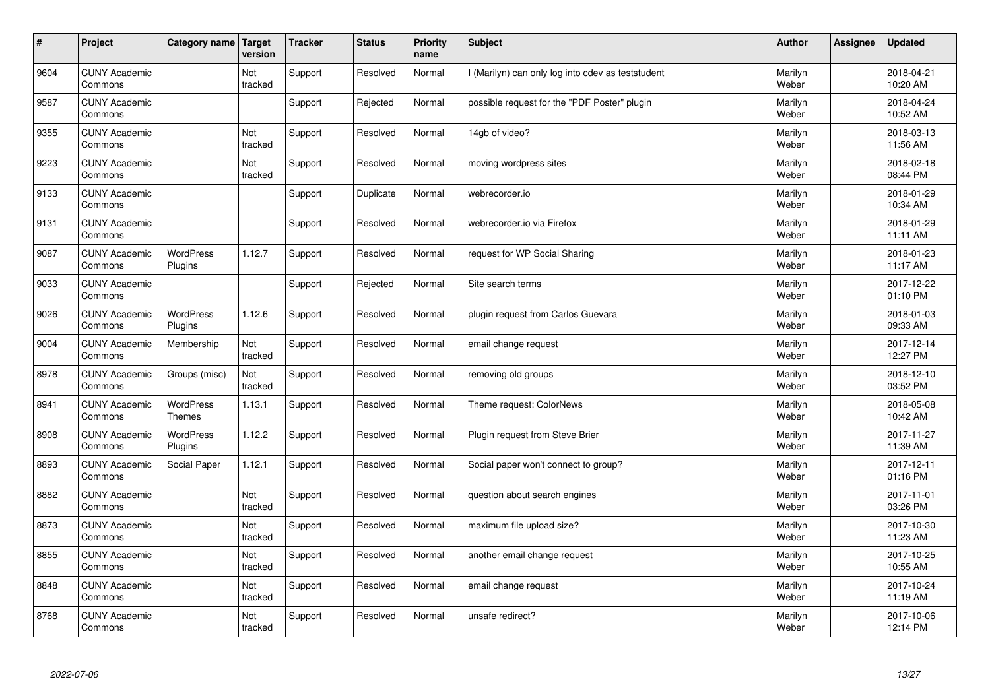| $\sharp$ | Project                         | Category name                     | Target<br>version | <b>Tracker</b> | <b>Status</b> | <b>Priority</b><br>name | <b>Subject</b>                                    | <b>Author</b>    | Assignee | <b>Updated</b>         |
|----------|---------------------------------|-----------------------------------|-------------------|----------------|---------------|-------------------------|---------------------------------------------------|------------------|----------|------------------------|
| 9604     | <b>CUNY Academic</b><br>Commons |                                   | Not<br>tracked    | Support        | Resolved      | Normal                  | I (Marilyn) can only log into cdev as teststudent | Marilyn<br>Weber |          | 2018-04-21<br>10:20 AM |
| 9587     | <b>CUNY Academic</b><br>Commons |                                   |                   | Support        | Rejected      | Normal                  | possible request for the "PDF Poster" plugin      | Marilyn<br>Weber |          | 2018-04-24<br>10:52 AM |
| 9355     | <b>CUNY Academic</b><br>Commons |                                   | Not<br>tracked    | Support        | Resolved      | Normal                  | 14gb of video?                                    | Marilyn<br>Weber |          | 2018-03-13<br>11:56 AM |
| 9223     | <b>CUNY Academic</b><br>Commons |                                   | Not<br>tracked    | Support        | Resolved      | Normal                  | moving wordpress sites                            | Marilyn<br>Weber |          | 2018-02-18<br>08:44 PM |
| 9133     | <b>CUNY Academic</b><br>Commons |                                   |                   | Support        | Duplicate     | Normal                  | webrecorder.io                                    | Marilyn<br>Weber |          | 2018-01-29<br>10:34 AM |
| 9131     | <b>CUNY Academic</b><br>Commons |                                   |                   | Support        | Resolved      | Normal                  | webrecorder.io via Firefox                        | Marilyn<br>Weber |          | 2018-01-29<br>11:11 AM |
| 9087     | <b>CUNY Academic</b><br>Commons | <b>WordPress</b><br>Plugins       | 1.12.7            | Support        | Resolved      | Normal                  | request for WP Social Sharing                     | Marilyn<br>Weber |          | 2018-01-23<br>11:17 AM |
| 9033     | <b>CUNY Academic</b><br>Commons |                                   |                   | Support        | Rejected      | Normal                  | Site search terms                                 | Marilyn<br>Weber |          | 2017-12-22<br>01:10 PM |
| 9026     | <b>CUNY Academic</b><br>Commons | <b>WordPress</b><br>Plugins       | 1.12.6            | Support        | Resolved      | Normal                  | plugin request from Carlos Guevara                | Marilyn<br>Weber |          | 2018-01-03<br>09:33 AM |
| 9004     | <b>CUNY Academic</b><br>Commons | Membership                        | Not<br>tracked    | Support        | Resolved      | Normal                  | email change request                              | Marilyn<br>Weber |          | 2017-12-14<br>12:27 PM |
| 8978     | <b>CUNY Academic</b><br>Commons | Groups (misc)                     | Not<br>tracked    | Support        | Resolved      | Normal                  | removing old groups                               | Marilyn<br>Weber |          | 2018-12-10<br>03:52 PM |
| 8941     | <b>CUNY Academic</b><br>Commons | <b>WordPress</b><br><b>Themes</b> | 1.13.1            | Support        | Resolved      | Normal                  | Theme request: ColorNews                          | Marilyn<br>Weber |          | 2018-05-08<br>10:42 AM |
| 8908     | <b>CUNY Academic</b><br>Commons | <b>WordPress</b><br>Plugins       | 1.12.2            | Support        | Resolved      | Normal                  | Plugin request from Steve Brier                   | Marilyn<br>Weber |          | 2017-11-27<br>11:39 AM |
| 8893     | <b>CUNY Academic</b><br>Commons | Social Paper                      | 1.12.1            | Support        | Resolved      | Normal                  | Social paper won't connect to group?              | Marilyn<br>Weber |          | 2017-12-11<br>01:16 PM |
| 8882     | <b>CUNY Academic</b><br>Commons |                                   | Not<br>tracked    | Support        | Resolved      | Normal                  | question about search engines                     | Marilyn<br>Weber |          | 2017-11-01<br>03:26 PM |
| 8873     | <b>CUNY Academic</b><br>Commons |                                   | Not<br>tracked    | Support        | Resolved      | Normal                  | maximum file upload size?                         | Marilyn<br>Weber |          | 2017-10-30<br>11:23 AM |
| 8855     | <b>CUNY Academic</b><br>Commons |                                   | Not<br>tracked    | Support        | Resolved      | Normal                  | another email change request                      | Marilyn<br>Weber |          | 2017-10-25<br>10:55 AM |
| 8848     | <b>CUNY Academic</b><br>Commons |                                   | Not<br>tracked    | Support        | Resolved      | Normal                  | email change request                              | Marilyn<br>Weber |          | 2017-10-24<br>11:19 AM |
| 8768     | <b>CUNY Academic</b><br>Commons |                                   | Not<br>tracked    | Support        | Resolved      | Normal                  | unsafe redirect?                                  | Marilyn<br>Weber |          | 2017-10-06<br>12:14 PM |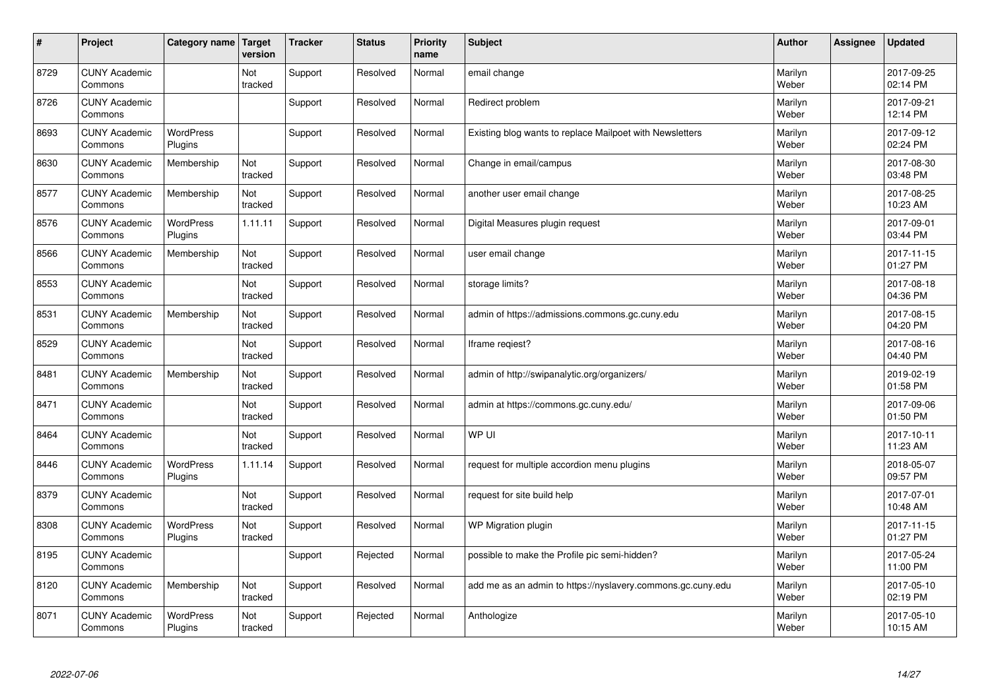| $\sharp$ | Project                         | Category name   Target      | version        | <b>Tracker</b> | <b>Status</b> | <b>Priority</b><br>name | <b>Subject</b>                                              | <b>Author</b>    | Assignee | <b>Updated</b>         |
|----------|---------------------------------|-----------------------------|----------------|----------------|---------------|-------------------------|-------------------------------------------------------------|------------------|----------|------------------------|
| 8729     | <b>CUNY Academic</b><br>Commons |                             | Not<br>tracked | Support        | Resolved      | Normal                  | email change                                                | Marilyn<br>Weber |          | 2017-09-25<br>02:14 PM |
| 8726     | <b>CUNY Academic</b><br>Commons |                             |                | Support        | Resolved      | Normal                  | Redirect problem                                            | Marilyn<br>Weber |          | 2017-09-21<br>12:14 PM |
| 8693     | <b>CUNY Academic</b><br>Commons | <b>WordPress</b><br>Plugins |                | Support        | Resolved      | Normal                  | Existing blog wants to replace Mailpoet with Newsletters    | Marilyn<br>Weber |          | 2017-09-12<br>02:24 PM |
| 8630     | <b>CUNY Academic</b><br>Commons | Membership                  | Not<br>tracked | Support        | Resolved      | Normal                  | Change in email/campus                                      | Marilyn<br>Weber |          | 2017-08-30<br>03:48 PM |
| 8577     | <b>CUNY Academic</b><br>Commons | Membership                  | Not<br>tracked | Support        | Resolved      | Normal                  | another user email change                                   | Marilyn<br>Weber |          | 2017-08-25<br>10:23 AM |
| 8576     | <b>CUNY Academic</b><br>Commons | <b>WordPress</b><br>Plugins | 1.11.11        | Support        | Resolved      | Normal                  | Digital Measures plugin request                             | Marilyn<br>Weber |          | 2017-09-01<br>03:44 PM |
| 8566     | <b>CUNY Academic</b><br>Commons | Membership                  | Not<br>tracked | Support        | Resolved      | Normal                  | user email change                                           | Marilyn<br>Weber |          | 2017-11-15<br>01:27 PM |
| 8553     | <b>CUNY Academic</b><br>Commons |                             | Not<br>tracked | Support        | Resolved      | Normal                  | storage limits?                                             | Marilyn<br>Weber |          | 2017-08-18<br>04:36 PM |
| 8531     | <b>CUNY Academic</b><br>Commons | Membership                  | Not<br>tracked | Support        | Resolved      | Normal                  | admin of https://admissions.commons.gc.cuny.edu             | Marilyn<br>Weber |          | 2017-08-15<br>04:20 PM |
| 8529     | <b>CUNY Academic</b><br>Commons |                             | Not<br>tracked | Support        | Resolved      | Normal                  | Iframe regiest?                                             | Marilyn<br>Weber |          | 2017-08-16<br>04:40 PM |
| 8481     | <b>CUNY Academic</b><br>Commons | Membership                  | Not<br>tracked | Support        | Resolved      | Normal                  | admin of http://swipanalytic.org/organizers/                | Marilyn<br>Weber |          | 2019-02-19<br>01:58 PM |
| 8471     | <b>CUNY Academic</b><br>Commons |                             | Not<br>tracked | Support        | Resolved      | Normal                  | admin at https://commons.gc.cuny.edu/                       | Marilyn<br>Weber |          | 2017-09-06<br>01:50 PM |
| 8464     | <b>CUNY Academic</b><br>Commons |                             | Not<br>tracked | Support        | Resolved      | Normal                  | WP UI                                                       | Marilyn<br>Weber |          | 2017-10-11<br>11:23 AM |
| 8446     | <b>CUNY Academic</b><br>Commons | <b>WordPress</b><br>Plugins | 1.11.14        | Support        | Resolved      | Normal                  | request for multiple accordion menu plugins                 | Marilyn<br>Weber |          | 2018-05-07<br>09:57 PM |
| 8379     | <b>CUNY Academic</b><br>Commons |                             | Not<br>tracked | Support        | Resolved      | Normal                  | request for site build help                                 | Marilyn<br>Weber |          | 2017-07-01<br>10:48 AM |
| 8308     | <b>CUNY Academic</b><br>Commons | WordPress<br>Plugins        | Not<br>tracked | Support        | Resolved      | Normal                  | WP Migration plugin                                         | Marilyn<br>Weber |          | 2017-11-15<br>01:27 PM |
| 8195     | <b>CUNY Academic</b><br>Commons |                             |                | Support        | Rejected      | Normal                  | possible to make the Profile pic semi-hidden?               | Marilyn<br>Weber |          | 2017-05-24<br>11:00 PM |
| 8120     | <b>CUNY Academic</b><br>Commons | Membership                  | Not<br>tracked | Support        | Resolved      | Normal                  | add me as an admin to https://nyslavery.commons.gc.cuny.edu | Marilyn<br>Weber |          | 2017-05-10<br>02:19 PM |
| 8071     | <b>CUNY Academic</b><br>Commons | WordPress<br>Plugins        | Not<br>tracked | Support        | Rejected      | Normal                  | Anthologize                                                 | Marilyn<br>Weber |          | 2017-05-10<br>10:15 AM |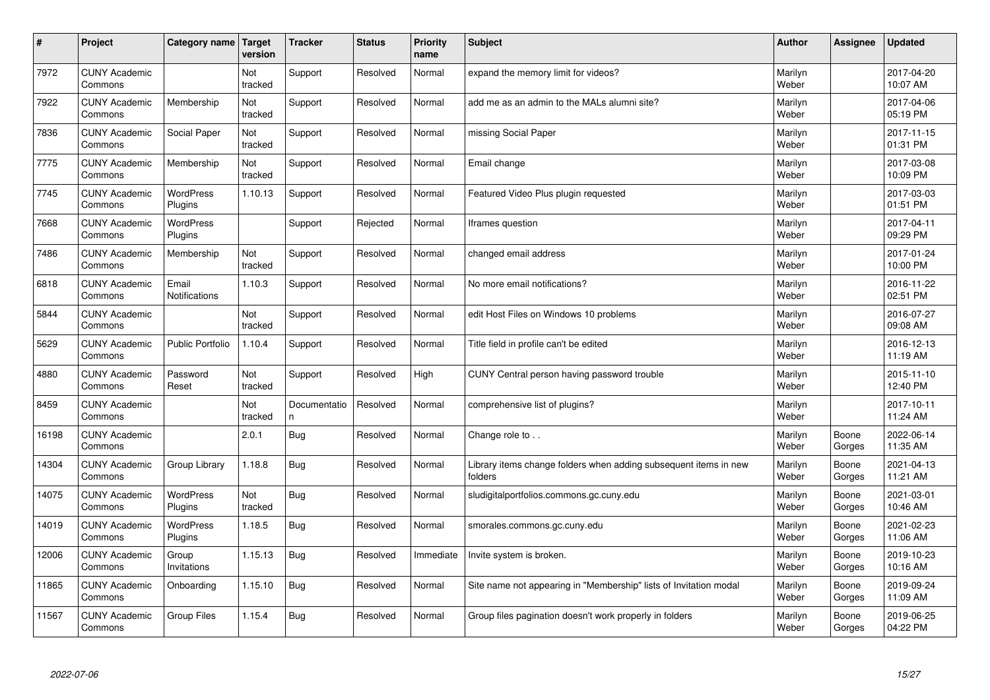| #     | Project                         | Category name   Target      | version        | <b>Tracker</b>     | <b>Status</b> | <b>Priority</b><br>name | <b>Subject</b>                                                              | <b>Author</b>    | Assignee        | <b>Updated</b>         |
|-------|---------------------------------|-----------------------------|----------------|--------------------|---------------|-------------------------|-----------------------------------------------------------------------------|------------------|-----------------|------------------------|
| 7972  | <b>CUNY Academic</b><br>Commons |                             | Not<br>tracked | Support            | Resolved      | Normal                  | expand the memory limit for videos?                                         | Marilyn<br>Weber |                 | 2017-04-20<br>10:07 AM |
| 7922  | <b>CUNY Academic</b><br>Commons | Membership                  | Not<br>tracked | Support            | Resolved      | Normal                  | add me as an admin to the MALs alumni site?                                 | Marilyn<br>Weber |                 | 2017-04-06<br>05:19 PM |
| 7836  | <b>CUNY Academic</b><br>Commons | Social Paper                | Not<br>tracked | Support            | Resolved      | Normal                  | missing Social Paper                                                        | Marilyn<br>Weber |                 | 2017-11-15<br>01:31 PM |
| 7775  | <b>CUNY Academic</b><br>Commons | Membership                  | Not<br>tracked | Support            | Resolved      | Normal                  | Email change                                                                | Marilyn<br>Weber |                 | 2017-03-08<br>10:09 PM |
| 7745  | <b>CUNY Academic</b><br>Commons | <b>WordPress</b><br>Plugins | 1.10.13        | Support            | Resolved      | Normal                  | Featured Video Plus plugin requested                                        | Marilyn<br>Weber |                 | 2017-03-03<br>01:51 PM |
| 7668  | <b>CUNY Academic</b><br>Commons | <b>WordPress</b><br>Plugins |                | Support            | Rejected      | Normal                  | Iframes question                                                            | Marilyn<br>Weber |                 | 2017-04-11<br>09:29 PM |
| 7486  | <b>CUNY Academic</b><br>Commons | Membership                  | Not<br>tracked | Support            | Resolved      | Normal                  | changed email address                                                       | Marilyn<br>Weber |                 | 2017-01-24<br>10:00 PM |
| 6818  | <b>CUNY Academic</b><br>Commons | Email<br>Notifications      | 1.10.3         | Support            | Resolved      | Normal                  | No more email notifications?                                                | Marilyn<br>Weber |                 | 2016-11-22<br>02:51 PM |
| 5844  | <b>CUNY Academic</b><br>Commons |                             | Not<br>tracked | Support            | Resolved      | Normal                  | edit Host Files on Windows 10 problems                                      | Marilyn<br>Weber |                 | 2016-07-27<br>09:08 AM |
| 5629  | <b>CUNY Academic</b><br>Commons | <b>Public Portfolio</b>     | 1.10.4         | Support            | Resolved      | Normal                  | Title field in profile can't be edited                                      | Marilyn<br>Weber |                 | 2016-12-13<br>11:19 AM |
| 4880  | <b>CUNY Academic</b><br>Commons | Password<br>Reset           | Not<br>tracked | Support            | Resolved      | High                    | CUNY Central person having password trouble                                 | Marilyn<br>Weber |                 | 2015-11-10<br>12:40 PM |
| 8459  | <b>CUNY Academic</b><br>Commons |                             | Not<br>tracked | Documentatio<br>n. | Resolved      | Normal                  | comprehensive list of plugins?                                              | Marilyn<br>Weber |                 | 2017-10-11<br>11:24 AM |
| 16198 | <b>CUNY Academic</b><br>Commons |                             | 2.0.1          | <b>Bug</b>         | Resolved      | Normal                  | Change role to                                                              | Marilyn<br>Weber | Boone<br>Gorges | 2022-06-14<br>11:35 AM |
| 14304 | <b>CUNY Academic</b><br>Commons | Group Library               | 1.18.8         | Bug                | Resolved      | Normal                  | Library items change folders when adding subsequent items in new<br>folders | Marilyn<br>Weber | Boone<br>Gorges | 2021-04-13<br>11:21 AM |
| 14075 | <b>CUNY Academic</b><br>Commons | WordPress<br>Plugins        | Not<br>tracked | <b>Bug</b>         | Resolved      | Normal                  | sludigitalportfolios.commons.gc.cuny.edu                                    | Marilyn<br>Weber | Boone<br>Gorges | 2021-03-01<br>10:46 AM |
| 14019 | <b>CUNY Academic</b><br>Commons | WordPress<br>Plugins        | 1.18.5         | <b>Bug</b>         | Resolved      | Normal                  | smorales.commons.gc.cuny.edu                                                | Marilyn<br>Weber | Boone<br>Gorges | 2021-02-23<br>11:06 AM |
| 12006 | <b>CUNY Academic</b><br>Commons | Group<br>Invitations        | 1.15.13        | Bug                | Resolved      | Immediate               | Invite system is broken.                                                    | Marilyn<br>Weber | Boone<br>Gorges | 2019-10-23<br>10:16 AM |
| 11865 | <b>CUNY Academic</b><br>Commons | Onboarding                  | 1.15.10        | Bug                | Resolved      | Normal                  | Site name not appearing in "Membership" lists of Invitation modal           | Marilyn<br>Weber | Boone<br>Gorges | 2019-09-24<br>11:09 AM |
| 11567 | <b>CUNY Academic</b><br>Commons | Group Files                 | 1.15.4         | <b>Bug</b>         | Resolved      | Normal                  | Group files pagination doesn't work properly in folders                     | Marilyn<br>Weber | Boone<br>Gorges | 2019-06-25<br>04:22 PM |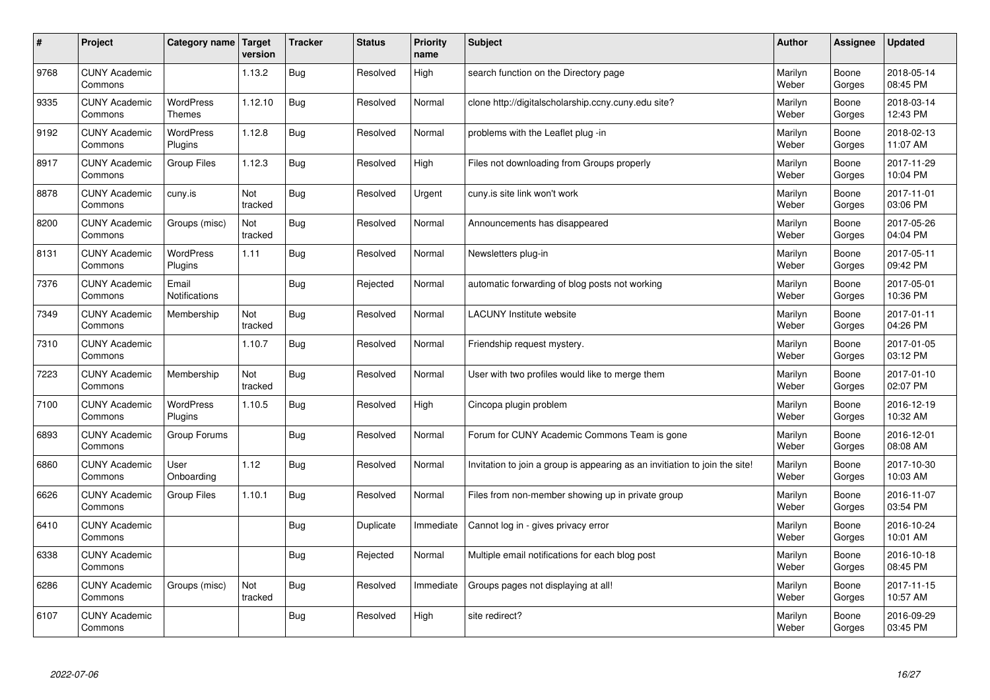| $\sharp$ | Project                         | Category name                     | Target<br>version | <b>Tracker</b> | <b>Status</b> | <b>Priority</b><br>name | <b>Subject</b>                                                              | <b>Author</b>    | Assignee        | <b>Updated</b>         |
|----------|---------------------------------|-----------------------------------|-------------------|----------------|---------------|-------------------------|-----------------------------------------------------------------------------|------------------|-----------------|------------------------|
| 9768     | <b>CUNY Academic</b><br>Commons |                                   | 1.13.2            | <b>Bug</b>     | Resolved      | High                    | search function on the Directory page                                       | Marilyn<br>Weber | Boone<br>Gorges | 2018-05-14<br>08:45 PM |
| 9335     | <b>CUNY Academic</b><br>Commons | <b>WordPress</b><br><b>Themes</b> | 1.12.10           | Bug            | Resolved      | Normal                  | clone http://digitalscholarship.ccny.cuny.edu site?                         | Marilyn<br>Weber | Boone<br>Gorges | 2018-03-14<br>12:43 PM |
| 9192     | <b>CUNY Academic</b><br>Commons | <b>WordPress</b><br>Plugins       | 1.12.8            | Bug            | Resolved      | Normal                  | problems with the Leaflet plug -in                                          | Marilyn<br>Weber | Boone<br>Gorges | 2018-02-13<br>11:07 AM |
| 8917     | <b>CUNY Academic</b><br>Commons | Group Files                       | 1.12.3            | Bug            | Resolved      | High                    | Files not downloading from Groups properly                                  | Marilyn<br>Weber | Boone<br>Gorges | 2017-11-29<br>10:04 PM |
| 8878     | <b>CUNY Academic</b><br>Commons | cuny.is                           | Not<br>tracked    | Bug            | Resolved      | Urgent                  | cuny.is site link won't work                                                | Marilyn<br>Weber | Boone<br>Gorges | 2017-11-01<br>03:06 PM |
| 8200     | <b>CUNY Academic</b><br>Commons | Groups (misc)                     | Not<br>tracked    | Bug            | Resolved      | Normal                  | Announcements has disappeared                                               | Marilyn<br>Weber | Boone<br>Gorges | 2017-05-26<br>04:04 PM |
| 8131     | <b>CUNY Academic</b><br>Commons | WordPress<br>Plugins              | 1.11              | Bug            | Resolved      | Normal                  | Newsletters plug-in                                                         | Marilyn<br>Weber | Boone<br>Gorges | 2017-05-11<br>09:42 PM |
| 7376     | <b>CUNY Academic</b><br>Commons | Email<br>Notifications            |                   | Bug            | Rejected      | Normal                  | automatic forwarding of blog posts not working                              | Marilyn<br>Weber | Boone<br>Gorges | 2017-05-01<br>10:36 PM |
| 7349     | <b>CUNY Academic</b><br>Commons | Membership                        | Not<br>tracked    | Bug            | Resolved      | Normal                  | <b>LACUNY</b> Institute website                                             | Marilyn<br>Weber | Boone<br>Gorges | 2017-01-11<br>04:26 PM |
| 7310     | <b>CUNY Academic</b><br>Commons |                                   | 1.10.7            | Bug            | Resolved      | Normal                  | Friendship request mystery.                                                 | Marilyn<br>Weber | Boone<br>Gorges | 2017-01-05<br>03:12 PM |
| 7223     | <b>CUNY Academic</b><br>Commons | Membership                        | Not<br>tracked    | Bug            | Resolved      | Normal                  | User with two profiles would like to merge them                             | Marilyn<br>Weber | Boone<br>Gorges | 2017-01-10<br>02:07 PM |
| 7100     | <b>CUNY Academic</b><br>Commons | <b>WordPress</b><br>Plugins       | 1.10.5            | Bug            | Resolved      | High                    | Cincopa plugin problem                                                      | Marilyn<br>Weber | Boone<br>Gorges | 2016-12-19<br>10:32 AM |
| 6893     | <b>CUNY Academic</b><br>Commons | Group Forums                      |                   | Bug            | Resolved      | Normal                  | Forum for CUNY Academic Commons Team is gone                                | Marilyn<br>Weber | Boone<br>Gorges | 2016-12-01<br>08:08 AM |
| 6860     | <b>CUNY Academic</b><br>Commons | User<br>Onboarding                | 1.12              | Bug            | Resolved      | Normal                  | Invitation to join a group is appearing as an invitiation to join the site! | Marilyn<br>Weber | Boone<br>Gorges | 2017-10-30<br>10:03 AM |
| 6626     | <b>CUNY Academic</b><br>Commons | Group Files                       | 1.10.1            | Bug            | Resolved      | Normal                  | Files from non-member showing up in private group                           | Marilyn<br>Weber | Boone<br>Gorges | 2016-11-07<br>03:54 PM |
| 6410     | <b>CUNY Academic</b><br>Commons |                                   |                   | Bug            | Duplicate     | Immediate               | Cannot log in - gives privacy error                                         | Marilyn<br>Weber | Boone<br>Gorges | 2016-10-24<br>10:01 AM |
| 6338     | <b>CUNY Academic</b><br>Commons |                                   |                   | Bug            | Rejected      | Normal                  | Multiple email notifications for each blog post                             | Marilyn<br>Weber | Boone<br>Gorges | 2016-10-18<br>08:45 PM |
| 6286     | <b>CUNY Academic</b><br>Commons | Groups (misc)                     | Not<br>tracked    | Bug            | Resolved      | Immediate               | Groups pages not displaying at all!                                         | Marilyn<br>Weber | Boone<br>Gorges | 2017-11-15<br>10:57 AM |
| 6107     | <b>CUNY Academic</b><br>Commons |                                   |                   | Bug            | Resolved      | High                    | site redirect?                                                              | Marilyn<br>Weber | Boone<br>Gorges | 2016-09-29<br>03:45 PM |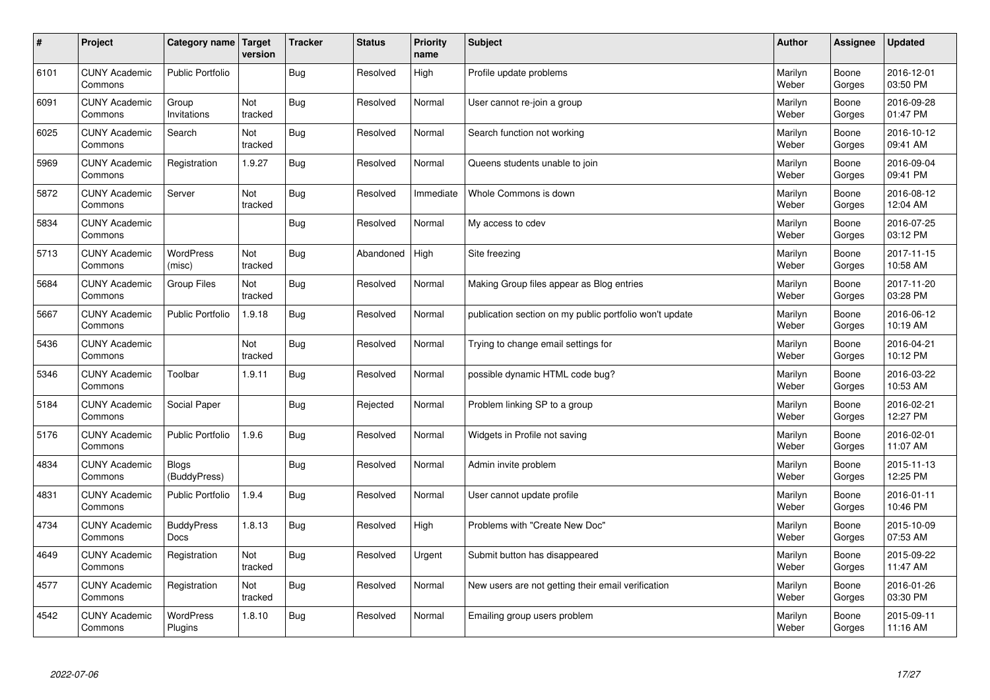| $\sharp$ | Project                         | Category name   Target           | version        | <b>Tracker</b> | <b>Status</b> | <b>Priority</b><br>name | <b>Subject</b>                                          | <b>Author</b>    | Assignee        | <b>Updated</b>         |
|----------|---------------------------------|----------------------------------|----------------|----------------|---------------|-------------------------|---------------------------------------------------------|------------------|-----------------|------------------------|
| 6101     | <b>CUNY Academic</b><br>Commons | <b>Public Portfolio</b>          |                | Bug            | Resolved      | High                    | Profile update problems                                 | Marilyn<br>Weber | Boone<br>Gorges | 2016-12-01<br>03:50 PM |
| 6091     | <b>CUNY Academic</b><br>Commons | Group<br>Invitations             | Not<br>tracked | Bug            | Resolved      | Normal                  | User cannot re-join a group                             | Marilyn<br>Weber | Boone<br>Gorges | 2016-09-28<br>01:47 PM |
| 6025     | <b>CUNY Academic</b><br>Commons | Search                           | Not<br>tracked | Bug            | Resolved      | Normal                  | Search function not working                             | Marilyn<br>Weber | Boone<br>Gorges | 2016-10-12<br>09:41 AM |
| 5969     | <b>CUNY Academic</b><br>Commons | Registration                     | 1.9.27         | Bug            | Resolved      | Normal                  | Queens students unable to join                          | Marilyn<br>Weber | Boone<br>Gorges | 2016-09-04<br>09:41 PM |
| 5872     | <b>CUNY Academic</b><br>Commons | Server                           | Not<br>tracked | <b>Bug</b>     | Resolved      | Immediate               | Whole Commons is down                                   | Marilyn<br>Weber | Boone<br>Gorges | 2016-08-12<br>12:04 AM |
| 5834     | <b>CUNY Academic</b><br>Commons |                                  |                | Bug            | Resolved      | Normal                  | My access to cdev                                       | Marilyn<br>Weber | Boone<br>Gorges | 2016-07-25<br>03:12 PM |
| 5713     | <b>CUNY Academic</b><br>Commons | WordPress<br>(misc)              | Not<br>tracked | Bug            | Abandoned     | High                    | Site freezing                                           | Marilyn<br>Weber | Boone<br>Gorges | 2017-11-15<br>10:58 AM |
| 5684     | <b>CUNY Academic</b><br>Commons | Group Files                      | Not<br>tracked | <b>Bug</b>     | Resolved      | Normal                  | Making Group files appear as Blog entries               | Marilyn<br>Weber | Boone<br>Gorges | 2017-11-20<br>03:28 PM |
| 5667     | <b>CUNY Academic</b><br>Commons | <b>Public Portfolio</b>          | 1.9.18         | Bug            | Resolved      | Normal                  | publication section on my public portfolio won't update | Marilyn<br>Weber | Boone<br>Gorges | 2016-06-12<br>10:19 AM |
| 5436     | <b>CUNY Academic</b><br>Commons |                                  | Not<br>tracked | Bug            | Resolved      | Normal                  | Trying to change email settings for                     | Marilyn<br>Weber | Boone<br>Gorges | 2016-04-21<br>10:12 PM |
| 5346     | <b>CUNY Academic</b><br>Commons | Toolbar                          | 1.9.11         | Bug            | Resolved      | Normal                  | possible dynamic HTML code bug?                         | Marilyn<br>Weber | Boone<br>Gorges | 2016-03-22<br>10:53 AM |
| 5184     | <b>CUNY Academic</b><br>Commons | Social Paper                     |                | Bug            | Rejected      | Normal                  | Problem linking SP to a group                           | Marilyn<br>Weber | Boone<br>Gorges | 2016-02-21<br>12:27 PM |
| 5176     | <b>CUNY Academic</b><br>Commons | Public Portfolio                 | 1.9.6          | <b>Bug</b>     | Resolved      | Normal                  | Widgets in Profile not saving                           | Marilyn<br>Weber | Boone<br>Gorges | 2016-02-01<br>11:07 AM |
| 4834     | <b>CUNY Academic</b><br>Commons | <b>Blogs</b><br>(BuddyPress)     |                | Bug            | Resolved      | Normal                  | Admin invite problem                                    | Marilyn<br>Weber | Boone<br>Gorges | 2015-11-13<br>12:25 PM |
| 4831     | <b>CUNY Academic</b><br>Commons | <b>Public Portfolio</b>          | 1.9.4          | Bug            | Resolved      | Normal                  | User cannot update profile                              | Marilyn<br>Weber | Boone<br>Gorges | 2016-01-11<br>10:46 PM |
| 4734     | <b>CUNY Academic</b><br>Commons | <b>BuddyPress</b><br><b>Docs</b> | 1.8.13         | Bug            | Resolved      | High                    | Problems with "Create New Doc"                          | Marilyn<br>Weber | Boone<br>Gorges | 2015-10-09<br>07:53 AM |
| 4649     | <b>CUNY Academic</b><br>Commons | Registration                     | Not<br>tracked | Bug            | Resolved      | Urgent                  | Submit button has disappeared                           | Marilyn<br>Weber | Boone<br>Gorges | 2015-09-22<br>11:47 AM |
| 4577     | <b>CUNY Academic</b><br>Commons | Registration                     | Not<br>tracked | Bug            | Resolved      | Normal                  | New users are not getting their email verification      | Marilyn<br>Weber | Boone<br>Gorges | 2016-01-26<br>03:30 PM |
| 4542     | <b>CUNY Academic</b><br>Commons | <b>WordPress</b><br>Plugins      | 1.8.10         | Bug            | Resolved      | Normal                  | Emailing group users problem                            | Marilyn<br>Weber | Boone<br>Gorges | 2015-09-11<br>11:16 AM |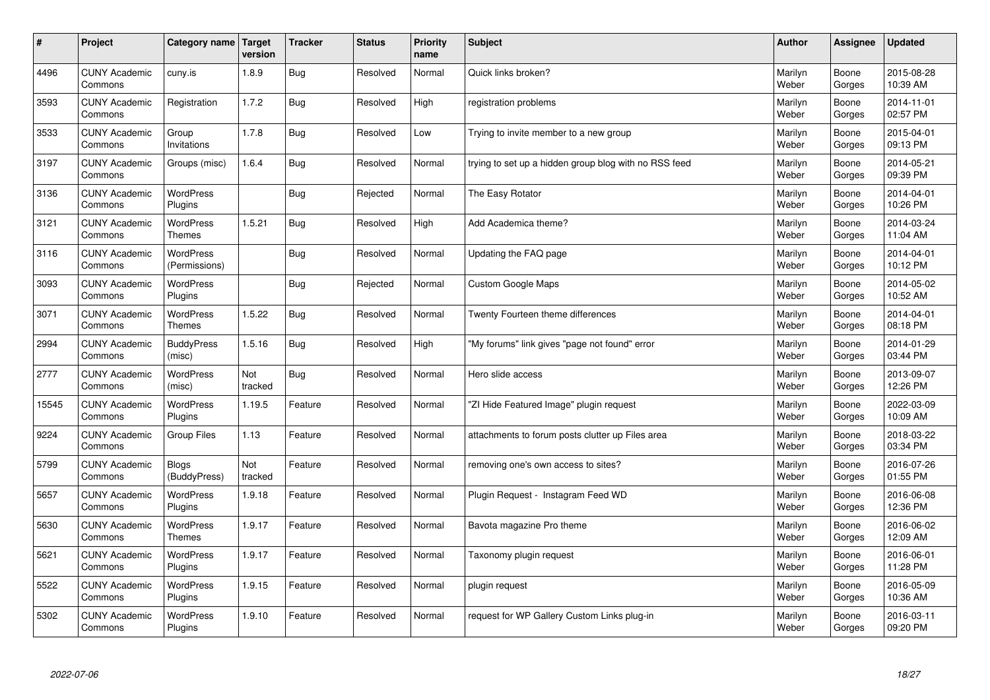| $\sharp$ | Project                         | Category name                     | <b>Target</b><br>version | <b>Tracker</b> | <b>Status</b> | <b>Priority</b><br>name | <b>Subject</b>                                        | <b>Author</b>    | Assignee        | <b>Updated</b>         |
|----------|---------------------------------|-----------------------------------|--------------------------|----------------|---------------|-------------------------|-------------------------------------------------------|------------------|-----------------|------------------------|
| 4496     | <b>CUNY Academic</b><br>Commons | cuny.is                           | 1.8.9                    | Bug            | Resolved      | Normal                  | Quick links broken?                                   | Marilyn<br>Weber | Boone<br>Gorges | 2015-08-28<br>10:39 AM |
| 3593     | <b>CUNY Academic</b><br>Commons | Registration                      | 1.7.2                    | Bug            | Resolved      | High                    | registration problems                                 | Marilyn<br>Weber | Boone<br>Gorges | 2014-11-01<br>02:57 PM |
| 3533     | <b>CUNY Academic</b><br>Commons | Group<br>Invitations              | 1.7.8                    | Bug            | Resolved      | Low                     | Trying to invite member to a new group                | Marilyn<br>Weber | Boone<br>Gorges | 2015-04-01<br>09:13 PM |
| 3197     | <b>CUNY Academic</b><br>Commons | Groups (misc)                     | 1.6.4                    | <b>Bug</b>     | Resolved      | Normal                  | trying to set up a hidden group blog with no RSS feed | Marilyn<br>Weber | Boone<br>Gorges | 2014-05-21<br>09:39 PM |
| 3136     | <b>CUNY Academic</b><br>Commons | <b>WordPress</b><br>Plugins       |                          | Bug            | Rejected      | Normal                  | The Easy Rotator                                      | Marilyn<br>Weber | Boone<br>Gorges | 2014-04-01<br>10:26 PM |
| 3121     | <b>CUNY Academic</b><br>Commons | WordPress<br><b>Themes</b>        | 1.5.21                   | Bug            | Resolved      | High                    | Add Academica theme?                                  | Marilyn<br>Weber | Boone<br>Gorges | 2014-03-24<br>11:04 AM |
| 3116     | <b>CUNY Academic</b><br>Commons | <b>WordPress</b><br>(Permissions) |                          | Bug            | Resolved      | Normal                  | Updating the FAQ page                                 | Marilyn<br>Weber | Boone<br>Gorges | 2014-04-01<br>10:12 PM |
| 3093     | <b>CUNY Academic</b><br>Commons | <b>WordPress</b><br>Plugins       |                          | Bug            | Rejected      | Normal                  | <b>Custom Google Maps</b>                             | Marilyn<br>Weber | Boone<br>Gorges | 2014-05-02<br>10:52 AM |
| 3071     | <b>CUNY Academic</b><br>Commons | <b>WordPress</b><br><b>Themes</b> | 1.5.22                   | Bug            | Resolved      | Normal                  | Twenty Fourteen theme differences                     | Marilyn<br>Weber | Boone<br>Gorges | 2014-04-01<br>08:18 PM |
| 2994     | <b>CUNY Academic</b><br>Commons | <b>BuddyPress</b><br>(misc)       | 1.5.16                   | Bug            | Resolved      | High                    | 'My forums" link gives "page not found" error         | Marilyn<br>Weber | Boone<br>Gorges | 2014-01-29<br>03:44 PM |
| 2777     | <b>CUNY Academic</b><br>Commons | WordPress<br>(misc)               | Not<br>tracked           | Bug            | Resolved      | Normal                  | Hero slide access                                     | Marilyn<br>Weber | Boone<br>Gorges | 2013-09-07<br>12:26 PM |
| 15545    | <b>CUNY Academic</b><br>Commons | <b>WordPress</b><br>Plugins       | 1.19.5                   | Feature        | Resolved      | Normal                  | 'ZI Hide Featured Image" plugin request               | Marilyn<br>Weber | Boone<br>Gorges | 2022-03-09<br>10:09 AM |
| 9224     | <b>CUNY Academic</b><br>Commons | Group Files                       | 1.13                     | Feature        | Resolved      | Normal                  | attachments to forum posts clutter up Files area      | Marilyn<br>Weber | Boone<br>Gorges | 2018-03-22<br>03:34 PM |
| 5799     | <b>CUNY Academic</b><br>Commons | <b>Blogs</b><br>(BuddyPress)      | Not<br>tracked           | Feature        | Resolved      | Normal                  | removing one's own access to sites?                   | Marilyn<br>Weber | Boone<br>Gorges | 2016-07-26<br>01:55 PM |
| 5657     | <b>CUNY Academic</b><br>Commons | <b>WordPress</b><br>Plugins       | 1.9.18                   | Feature        | Resolved      | Normal                  | Plugin Reguest - Instagram Feed WD                    | Marilyn<br>Weber | Boone<br>Gorges | 2016-06-08<br>12:36 PM |
| 5630     | <b>CUNY Academic</b><br>Commons | <b>WordPress</b><br><b>Themes</b> | 1.9.17                   | Feature        | Resolved      | Normal                  | Bavota magazine Pro theme                             | Marilyn<br>Weber | Boone<br>Gorges | 2016-06-02<br>12:09 AM |
| 5621     | <b>CUNY Academic</b><br>Commons | WordPress<br>Plugins              | 1.9.17                   | Feature        | Resolved      | Normal                  | Taxonomy plugin request                               | Marilyn<br>Weber | Boone<br>Gorges | 2016-06-01<br>11:28 PM |
| 5522     | <b>CUNY Academic</b><br>Commons | WordPress<br>Plugins              | 1.9.15                   | Feature        | Resolved      | Normal                  | plugin request                                        | Marilyn<br>Weber | Boone<br>Gorges | 2016-05-09<br>10:36 AM |
| 5302     | <b>CUNY Academic</b><br>Commons | WordPress<br>Plugins              | 1.9.10                   | Feature        | Resolved      | Normal                  | request for WP Gallery Custom Links plug-in           | Marilyn<br>Weber | Boone<br>Gorges | 2016-03-11<br>09:20 PM |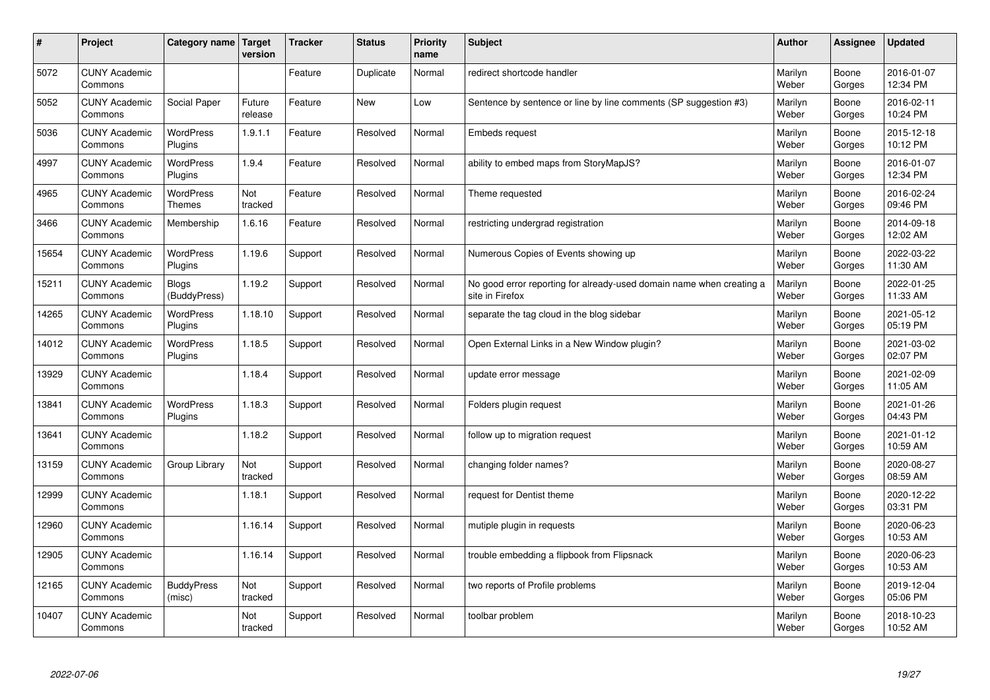| $\sharp$ | Project                         | Category name   Target            | version           | <b>Tracker</b> | <b>Status</b> | <b>Priority</b><br>name | <b>Subject</b>                                                                          | <b>Author</b>    | Assignee        | <b>Updated</b>         |
|----------|---------------------------------|-----------------------------------|-------------------|----------------|---------------|-------------------------|-----------------------------------------------------------------------------------------|------------------|-----------------|------------------------|
| 5072     | <b>CUNY Academic</b><br>Commons |                                   |                   | Feature        | Duplicate     | Normal                  | redirect shortcode handler                                                              | Marilyn<br>Weber | Boone<br>Gorges | 2016-01-07<br>12:34 PM |
| 5052     | <b>CUNY Academic</b><br>Commons | Social Paper                      | Future<br>release | Feature        | New           | Low                     | Sentence by sentence or line by line comments (SP suggestion #3)                        | Marilyn<br>Weber | Boone<br>Gorges | 2016-02-11<br>10:24 PM |
| 5036     | <b>CUNY Academic</b><br>Commons | <b>WordPress</b><br>Plugins       | 1.9.1.1           | Feature        | Resolved      | Normal                  | Embeds request                                                                          | Marilyn<br>Weber | Boone<br>Gorges | 2015-12-18<br>10:12 PM |
| 4997     | <b>CUNY Academic</b><br>Commons | <b>WordPress</b><br>Plugins       | 1.9.4             | Feature        | Resolved      | Normal                  | ability to embed maps from StoryMapJS?                                                  | Marilyn<br>Weber | Boone<br>Gorges | 2016-01-07<br>12:34 PM |
| 4965     | <b>CUNY Academic</b><br>Commons | <b>WordPress</b><br><b>Themes</b> | Not<br>tracked    | Feature        | Resolved      | Normal                  | Theme requested                                                                         | Marilyn<br>Weber | Boone<br>Gorges | 2016-02-24<br>09:46 PM |
| 3466     | <b>CUNY Academic</b><br>Commons | Membership                        | 1.6.16            | Feature        | Resolved      | Normal                  | restricting undergrad registration                                                      | Marilyn<br>Weber | Boone<br>Gorges | 2014-09-18<br>12:02 AM |
| 15654    | <b>CUNY Academic</b><br>Commons | <b>WordPress</b><br>Plugins       | 1.19.6            | Support        | Resolved      | Normal                  | Numerous Copies of Events showing up                                                    | Marilyn<br>Weber | Boone<br>Gorges | 2022-03-22<br>11:30 AM |
| 15211    | <b>CUNY Academic</b><br>Commons | <b>Blogs</b><br>(BuddyPress)      | 1.19.2            | Support        | Resolved      | Normal                  | No good error reporting for already-used domain name when creating a<br>site in Firefox | Marilyn<br>Weber | Boone<br>Gorges | 2022-01-25<br>11:33 AM |
| 14265    | <b>CUNY Academic</b><br>Commons | WordPress<br>Plugins              | 1.18.10           | Support        | Resolved      | Normal                  | separate the tag cloud in the blog sidebar                                              | Marilyn<br>Weber | Boone<br>Gorges | 2021-05-12<br>05:19 PM |
| 14012    | <b>CUNY Academic</b><br>Commons | WordPress<br>Plugins              | 1.18.5            | Support        | Resolved      | Normal                  | Open External Links in a New Window plugin?                                             | Marilyn<br>Weber | Boone<br>Gorges | 2021-03-02<br>02:07 PM |
| 13929    | <b>CUNY Academic</b><br>Commons |                                   | 1.18.4            | Support        | Resolved      | Normal                  | update error message                                                                    | Marilyn<br>Weber | Boone<br>Gorges | 2021-02-09<br>11:05 AM |
| 13841    | <b>CUNY Academic</b><br>Commons | WordPress<br>Plugins              | 1.18.3            | Support        | Resolved      | Normal                  | Folders plugin request                                                                  | Marilyn<br>Weber | Boone<br>Gorges | 2021-01-26<br>04:43 PM |
| 13641    | <b>CUNY Academic</b><br>Commons |                                   | 1.18.2            | Support        | Resolved      | Normal                  | follow up to migration request                                                          | Marilyn<br>Weber | Boone<br>Gorges | 2021-01-12<br>10:59 AM |
| 13159    | <b>CUNY Academic</b><br>Commons | Group Library                     | Not<br>tracked    | Support        | Resolved      | Normal                  | changing folder names?                                                                  | Marilyn<br>Weber | Boone<br>Gorges | 2020-08-27<br>08:59 AM |
| 12999    | <b>CUNY Academic</b><br>Commons |                                   | 1.18.1            | Support        | Resolved      | Normal                  | request for Dentist theme                                                               | Marilyn<br>Weber | Boone<br>Gorges | 2020-12-22<br>03:31 PM |
| 12960    | <b>CUNY Academic</b><br>Commons |                                   | 1.16.14           | Support        | Resolved      | Normal                  | mutiple plugin in requests                                                              | Marilyn<br>Weber | Boone<br>Gorges | 2020-06-23<br>10:53 AM |
| 12905    | <b>CUNY Academic</b><br>Commons |                                   | 1.16.14           | Support        | Resolved      | Normal                  | trouble embedding a flipbook from Flipsnack                                             | Marilyn<br>Weber | Boone<br>Gorges | 2020-06-23<br>10:53 AM |
| 12165    | <b>CUNY Academic</b><br>Commons | <b>BuddyPress</b><br>(misc)       | Not<br>tracked    | Support        | Resolved      | Normal                  | two reports of Profile problems                                                         | Marilyn<br>Weber | Boone<br>Gorges | 2019-12-04<br>05:06 PM |
| 10407    | <b>CUNY Academic</b><br>Commons |                                   | Not<br>tracked    | Support        | Resolved      | Normal                  | toolbar problem                                                                         | Marilyn<br>Weber | Boone<br>Gorges | 2018-10-23<br>10:52 AM |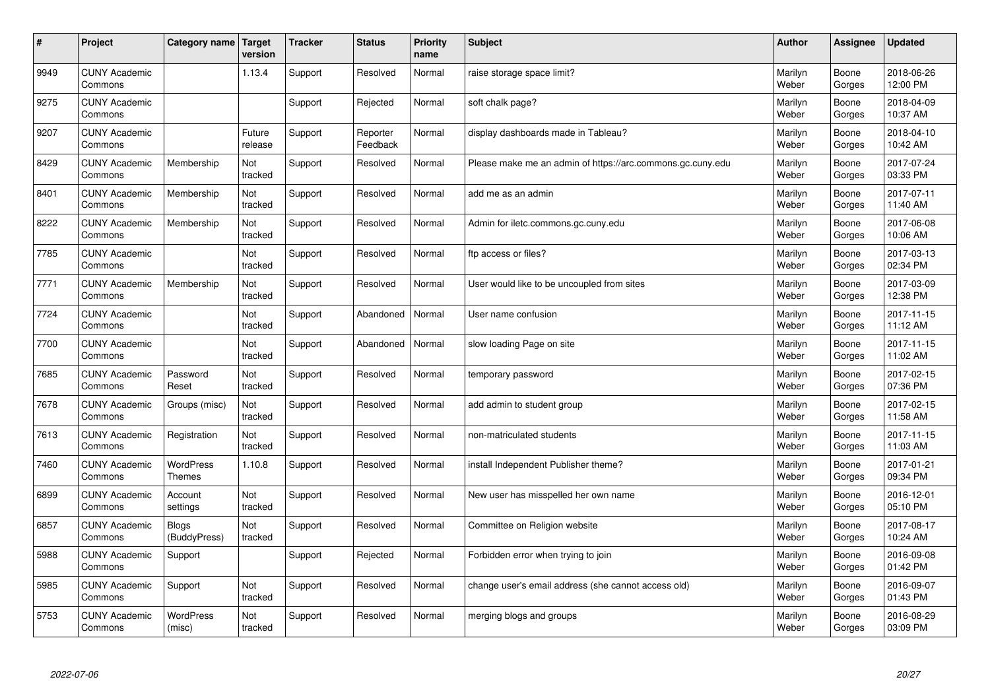| $\#$ | Project                         | Category name   Target       | version           | <b>Tracker</b> | <b>Status</b>        | <b>Priority</b><br>name | <b>Subject</b>                                             | <b>Author</b>    | Assignee        | <b>Updated</b>         |
|------|---------------------------------|------------------------------|-------------------|----------------|----------------------|-------------------------|------------------------------------------------------------|------------------|-----------------|------------------------|
| 9949 | <b>CUNY Academic</b><br>Commons |                              | 1.13.4            | Support        | Resolved             | Normal                  | raise storage space limit?                                 | Marilyn<br>Weber | Boone<br>Gorges | 2018-06-26<br>12:00 PM |
| 9275 | <b>CUNY Academic</b><br>Commons |                              |                   | Support        | Rejected             | Normal                  | soft chalk page?                                           | Marilyn<br>Weber | Boone<br>Gorges | 2018-04-09<br>10:37 AM |
| 9207 | <b>CUNY Academic</b><br>Commons |                              | Future<br>release | Support        | Reporter<br>Feedback | Normal                  | display dashboards made in Tableau?                        | Marilyn<br>Weber | Boone<br>Gorges | 2018-04-10<br>10:42 AM |
| 8429 | <b>CUNY Academic</b><br>Commons | Membership                   | Not<br>tracked    | Support        | Resolved             | Normal                  | Please make me an admin of https://arc.commons.gc.cuny.edu | Marilyn<br>Weber | Boone<br>Gorges | 2017-07-24<br>03:33 PM |
| 8401 | <b>CUNY Academic</b><br>Commons | Membership                   | Not<br>tracked    | Support        | Resolved             | Normal                  | add me as an admin                                         | Marilyn<br>Weber | Boone<br>Gorges | 2017-07-11<br>11:40 AM |
| 8222 | <b>CUNY Academic</b><br>Commons | Membership                   | Not<br>tracked    | Support        | Resolved             | Normal                  | Admin for iletc.commons.gc.cuny.edu                        | Marilyn<br>Weber | Boone<br>Gorges | 2017-06-08<br>10:06 AM |
| 7785 | <b>CUNY Academic</b><br>Commons |                              | Not<br>tracked    | Support        | Resolved             | Normal                  | ftp access or files?                                       | Marilyn<br>Weber | Boone<br>Gorges | 2017-03-13<br>02:34 PM |
| 7771 | <b>CUNY Academic</b><br>Commons | Membership                   | Not<br>tracked    | Support        | Resolved             | Normal                  | User would like to be uncoupled from sites                 | Marilyn<br>Weber | Boone<br>Gorges | 2017-03-09<br>12:38 PM |
| 7724 | <b>CUNY Academic</b><br>Commons |                              | Not<br>tracked    | Support        | Abandoned            | Normal                  | User name confusion                                        | Marilyn<br>Weber | Boone<br>Gorges | 2017-11-15<br>11:12 AM |
| 7700 | <b>CUNY Academic</b><br>Commons |                              | Not<br>tracked    | Support        | Abandoned            | Normal                  | slow loading Page on site                                  | Marilyn<br>Weber | Boone<br>Gorges | 2017-11-15<br>11:02 AM |
| 7685 | <b>CUNY Academic</b><br>Commons | Password<br>Reset            | Not<br>tracked    | Support        | Resolved             | Normal                  | temporary password                                         | Marilyn<br>Weber | Boone<br>Gorges | 2017-02-15<br>07:36 PM |
| 7678 | <b>CUNY Academic</b><br>Commons | Groups (misc)                | Not<br>tracked    | Support        | Resolved             | Normal                  | add admin to student group                                 | Marilyn<br>Weber | Boone<br>Gorges | 2017-02-15<br>11:58 AM |
| 7613 | <b>CUNY Academic</b><br>Commons | Registration                 | Not<br>tracked    | Support        | Resolved             | Normal                  | non-matriculated students                                  | Marilyn<br>Weber | Boone<br>Gorges | 2017-11-15<br>11:03 AM |
| 7460 | <b>CUNY Academic</b><br>Commons | WordPress<br><b>Themes</b>   | 1.10.8            | Support        | Resolved             | Normal                  | install Independent Publisher theme?                       | Marilyn<br>Weber | Boone<br>Gorges | 2017-01-21<br>09:34 PM |
| 6899 | <b>CUNY Academic</b><br>Commons | Account<br>settings          | Not<br>tracked    | Support        | Resolved             | Normal                  | New user has misspelled her own name                       | Marilyn<br>Weber | Boone<br>Gorges | 2016-12-01<br>05:10 PM |
| 6857 | <b>CUNY Academic</b><br>Commons | <b>Blogs</b><br>(BuddyPress) | Not<br>tracked    | Support        | Resolved             | Normal                  | Committee on Religion website                              | Marilyn<br>Weber | Boone<br>Gorges | 2017-08-17<br>10:24 AM |
| 5988 | <b>CUNY Academic</b><br>Commons | Support                      |                   | Support        | Rejected             | Normal                  | Forbidden error when trying to join                        | Marilyn<br>Weber | Boone<br>Gorges | 2016-09-08<br>01:42 PM |
| 5985 | <b>CUNY Academic</b><br>Commons | Support                      | Not<br>tracked    | Support        | Resolved             | Normal                  | change user's email address (she cannot access old)        | Marilyn<br>Weber | Boone<br>Gorges | 2016-09-07<br>01:43 PM |
| 5753 | <b>CUNY Academic</b><br>Commons | <b>WordPress</b><br>(misc)   | Not<br>tracked    | Support        | Resolved             | Normal                  | merging blogs and groups                                   | Marilyn<br>Weber | Boone<br>Gorges | 2016-08-29<br>03:09 PM |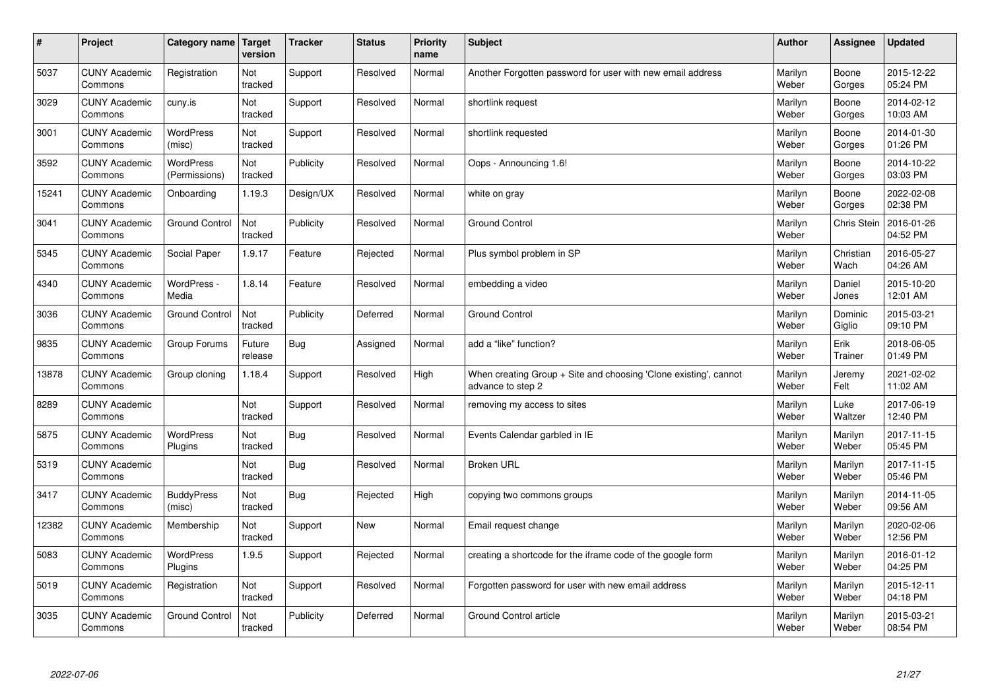| $\sharp$ | Project                         | Category name   Target            | version           | <b>Tracker</b> | <b>Status</b> | Priority<br>name | <b>Subject</b>                                                                        | <b>Author</b>    | <b>Assignee</b>   | <b>Updated</b>         |
|----------|---------------------------------|-----------------------------------|-------------------|----------------|---------------|------------------|---------------------------------------------------------------------------------------|------------------|-------------------|------------------------|
| 5037     | <b>CUNY Academic</b><br>Commons | Registration                      | Not<br>tracked    | Support        | Resolved      | Normal           | Another Forgotten password for user with new email address                            | Marilyn<br>Weber | Boone<br>Gorges   | 2015-12-22<br>05:24 PM |
| 3029     | <b>CUNY Academic</b><br>Commons | cuny.is                           | Not<br>tracked    | Support        | Resolved      | Normal           | shortlink request                                                                     | Marilyn<br>Weber | Boone<br>Gorges   | 2014-02-12<br>10:03 AM |
| 3001     | <b>CUNY Academic</b><br>Commons | <b>WordPress</b><br>(misc)        | Not<br>tracked    | Support        | Resolved      | Normal           | shortlink requested                                                                   | Marilyn<br>Weber | Boone<br>Gorges   | 2014-01-30<br>01:26 PM |
| 3592     | <b>CUNY Academic</b><br>Commons | <b>WordPress</b><br>(Permissions) | Not<br>tracked    | Publicity      | Resolved      | Normal           | Oops - Announcing 1.6!                                                                | Marilyn<br>Weber | Boone<br>Gorges   | 2014-10-22<br>03:03 PM |
| 15241    | <b>CUNY Academic</b><br>Commons | Onboarding                        | 1.19.3            | Design/UX      | Resolved      | Normal           | white on gray                                                                         | Marilyn<br>Weber | Boone<br>Gorges   | 2022-02-08<br>02:38 PM |
| 3041     | <b>CUNY Academic</b><br>Commons | <b>Ground Control</b>             | Not<br>tracked    | Publicity      | Resolved      | Normal           | <b>Ground Control</b>                                                                 | Marilyn<br>Weber | Chris Stein       | 2016-01-26<br>04:52 PM |
| 5345     | <b>CUNY Academic</b><br>Commons | Social Paper                      | 1.9.17            | Feature        | Rejected      | Normal           | Plus symbol problem in SP                                                             | Marilyn<br>Weber | Christian<br>Wach | 2016-05-27<br>04:26 AM |
| 4340     | <b>CUNY Academic</b><br>Commons | WordPress -<br>Media              | 1.8.14            | Feature        | Resolved      | Normal           | embedding a video                                                                     | Marilyn<br>Weber | Daniel<br>Jones   | 2015-10-20<br>12:01 AM |
| 3036     | <b>CUNY Academic</b><br>Commons | <b>Ground Control</b>             | Not<br>tracked    | Publicity      | Deferred      | Normal           | <b>Ground Control</b>                                                                 | Marilyn<br>Weber | Dominic<br>Giglio | 2015-03-21<br>09:10 PM |
| 9835     | <b>CUNY Academic</b><br>Commons | Group Forums                      | Future<br>release | Bug            | Assigned      | Normal           | add a "like" function?                                                                | Marilyn<br>Weber | Erik<br>Trainer   | 2018-06-05<br>01:49 PM |
| 13878    | <b>CUNY Academic</b><br>Commons | Group cloning                     | 1.18.4            | Support        | Resolved      | High             | When creating Group + Site and choosing 'Clone existing', cannot<br>advance to step 2 | Marilyn<br>Weber | Jeremy<br>Felt    | 2021-02-02<br>11:02 AM |
| 8289     | <b>CUNY Academic</b><br>Commons |                                   | Not<br>tracked    | Support        | Resolved      | Normal           | removing my access to sites                                                           | Marilyn<br>Weber | Luke<br>Waltzer   | 2017-06-19<br>12:40 PM |
| 5875     | <b>CUNY Academic</b><br>Commons | <b>WordPress</b><br>Plugins       | Not<br>tracked    | Bug            | Resolved      | Normal           | Events Calendar garbled in IE                                                         | Marilyn<br>Weber | Marilyn<br>Weber  | 2017-11-15<br>05:45 PM |
| 5319     | <b>CUNY Academic</b><br>Commons |                                   | Not<br>tracked    | Bug            | Resolved      | Normal           | <b>Broken URL</b>                                                                     | Marilyn<br>Weber | Marilyn<br>Weber  | 2017-11-15<br>05:46 PM |
| 3417     | <b>CUNY Academic</b><br>Commons | <b>BuddyPress</b><br>(misc)       | Not<br>tracked    | Bug            | Rejected      | High             | copying two commons groups                                                            | Marilyn<br>Weber | Marilyn<br>Weber  | 2014-11-05<br>09:56 AM |
| 12382    | <b>CUNY Academic</b><br>Commons | Membership                        | Not<br>tracked    | Support        | <b>New</b>    | Normal           | Email request change                                                                  | Marilyn<br>Weber | Marilyn<br>Weber  | 2020-02-06<br>12:56 PM |
| 5083     | <b>CUNY Academic</b><br>Commons | WordPress<br>Plugins              | 1.9.5             | Support        | Rejected      | Normal           | creating a shortcode for the iframe code of the google form                           | Marilyn<br>Weber | Marilyn<br>Weber  | 2016-01-12<br>04:25 PM |
| 5019     | <b>CUNY Academic</b><br>Commons | Registration                      | Not<br>tracked    | Support        | Resolved      | Normal           | Forgotten password for user with new email address                                    | Marilyn<br>Weber | Marilyn<br>Weber  | 2015-12-11<br>04:18 PM |
| 3035     | <b>CUNY Academic</b><br>Commons | <b>Ground Control</b>             | Not<br>tracked    | Publicity      | Deferred      | Normal           | Ground Control article                                                                | Marilyn<br>Weber | Marilyn<br>Weber  | 2015-03-21<br>08:54 PM |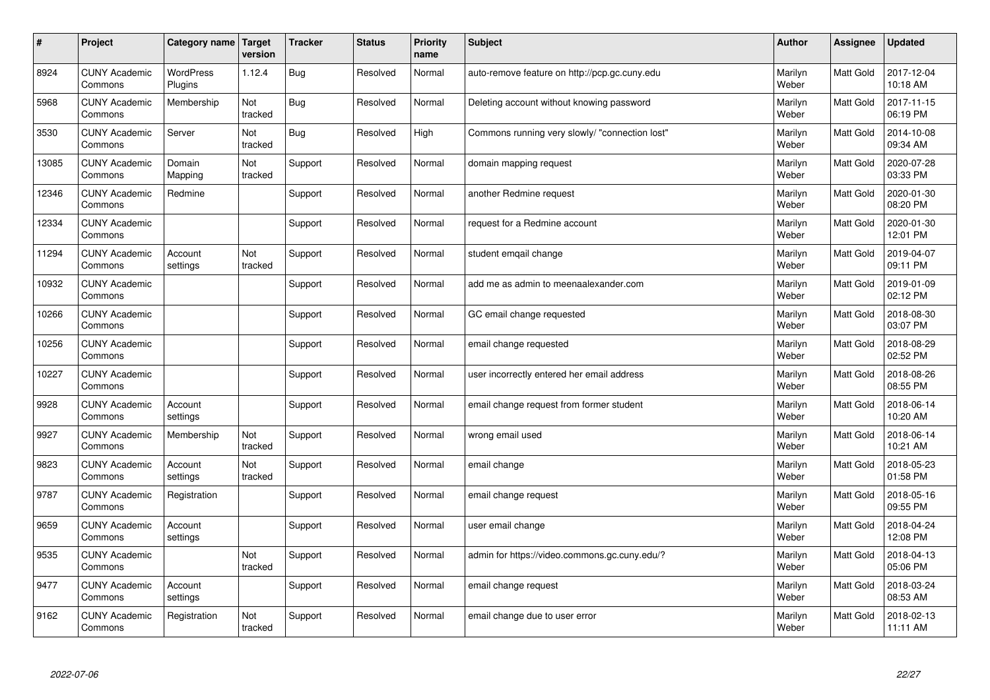| $\vert$ # | Project                         | Category name               | <b>Target</b><br>version | <b>Tracker</b> | <b>Status</b> | <b>Priority</b><br>name | <b>Subject</b>                                 | <b>Author</b>    | <b>Assignee</b>  | <b>Updated</b>         |
|-----------|---------------------------------|-----------------------------|--------------------------|----------------|---------------|-------------------------|------------------------------------------------|------------------|------------------|------------------------|
| 8924      | <b>CUNY Academic</b><br>Commons | <b>WordPress</b><br>Plugins | 1.12.4                   | Bug            | Resolved      | Normal                  | auto-remove feature on http://pcp.gc.cuny.edu  | Marilyn<br>Weber | <b>Matt Gold</b> | 2017-12-04<br>10:18 AM |
| 5968      | <b>CUNY Academic</b><br>Commons | Membership                  | Not<br>tracked           | Bug            | Resolved      | Normal                  | Deleting account without knowing password      | Marilyn<br>Weber | Matt Gold        | 2017-11-15<br>06:19 PM |
| 3530      | <b>CUNY Academic</b><br>Commons | Server                      | Not<br>tracked           | <b>Bug</b>     | Resolved      | High                    | Commons running very slowly/ "connection lost" | Marilyn<br>Weber | Matt Gold        | 2014-10-08<br>09:34 AM |
| 13085     | <b>CUNY Academic</b><br>Commons | Domain<br>Mapping           | Not<br>tracked           | Support        | Resolved      | Normal                  | domain mapping request                         | Marilyn<br>Weber | Matt Gold        | 2020-07-28<br>03:33 PM |
| 12346     | <b>CUNY Academic</b><br>Commons | Redmine                     |                          | Support        | Resolved      | Normal                  | another Redmine request                        | Marilyn<br>Weber | Matt Gold        | 2020-01-30<br>08:20 PM |
| 12334     | <b>CUNY Academic</b><br>Commons |                             |                          | Support        | Resolved      | Normal                  | request for a Redmine account                  | Marilyn<br>Weber | Matt Gold        | 2020-01-30<br>12:01 PM |
| 11294     | <b>CUNY Academic</b><br>Commons | Account<br>settings         | Not<br>tracked           | Support        | Resolved      | Normal                  | student emgail change                          | Marilyn<br>Weber | Matt Gold        | 2019-04-07<br>09:11 PM |
| 10932     | <b>CUNY Academic</b><br>Commons |                             |                          | Support        | Resolved      | Normal                  | add me as admin to meenaalexander.com          | Marilyn<br>Weber | Matt Gold        | 2019-01-09<br>02:12 PM |
| 10266     | <b>CUNY Academic</b><br>Commons |                             |                          | Support        | Resolved      | Normal                  | GC email change requested                      | Marilyn<br>Weber | Matt Gold        | 2018-08-30<br>03:07 PM |
| 10256     | <b>CUNY Academic</b><br>Commons |                             |                          | Support        | Resolved      | Normal                  | email change requested                         | Marilyn<br>Weber | Matt Gold        | 2018-08-29<br>02:52 PM |
| 10227     | <b>CUNY Academic</b><br>Commons |                             |                          | Support        | Resolved      | Normal                  | user incorrectly entered her email address     | Marilyn<br>Weber | Matt Gold        | 2018-08-26<br>08:55 PM |
| 9928      | <b>CUNY Academic</b><br>Commons | Account<br>settings         |                          | Support        | Resolved      | Normal                  | email change request from former student       | Marilyn<br>Weber | Matt Gold        | 2018-06-14<br>10:20 AM |
| 9927      | <b>CUNY Academic</b><br>Commons | Membership                  | Not<br>tracked           | Support        | Resolved      | Normal                  | wrong email used                               | Marilyn<br>Weber | Matt Gold        | 2018-06-14<br>10:21 AM |
| 9823      | <b>CUNY Academic</b><br>Commons | Account<br>settings         | Not<br>tracked           | Support        | Resolved      | Normal                  | email change                                   | Marilyn<br>Weber | Matt Gold        | 2018-05-23<br>01:58 PM |
| 9787      | <b>CUNY Academic</b><br>Commons | Registration                |                          | Support        | Resolved      | Normal                  | email change request                           | Marilyn<br>Weber | Matt Gold        | 2018-05-16<br>09:55 PM |
| 9659      | <b>CUNY Academic</b><br>Commons | Account<br>settings         |                          | Support        | Resolved      | Normal                  | user email change                              | Marilyn<br>Weber | Matt Gold        | 2018-04-24<br>12:08 PM |
| 9535      | <b>CUNY Academic</b><br>Commons |                             | Not<br>tracked           | Support        | Resolved      | Normal                  | admin for https://video.commons.gc.cuny.edu/?  | Marilyn<br>Weber | Matt Gold        | 2018-04-13<br>05:06 PM |
| 9477      | <b>CUNY Academic</b><br>Commons | Account<br>settings         |                          | Support        | Resolved      | Normal                  | email change request                           | Marilyn<br>Weber | <b>Matt Gold</b> | 2018-03-24<br>08:53 AM |
| 9162      | <b>CUNY Academic</b><br>Commons | Registration                | Not<br>tracked           | Support        | Resolved      | Normal                  | email change due to user error                 | Marilyn<br>Weber | <b>Matt Gold</b> | 2018-02-13<br>11:11 AM |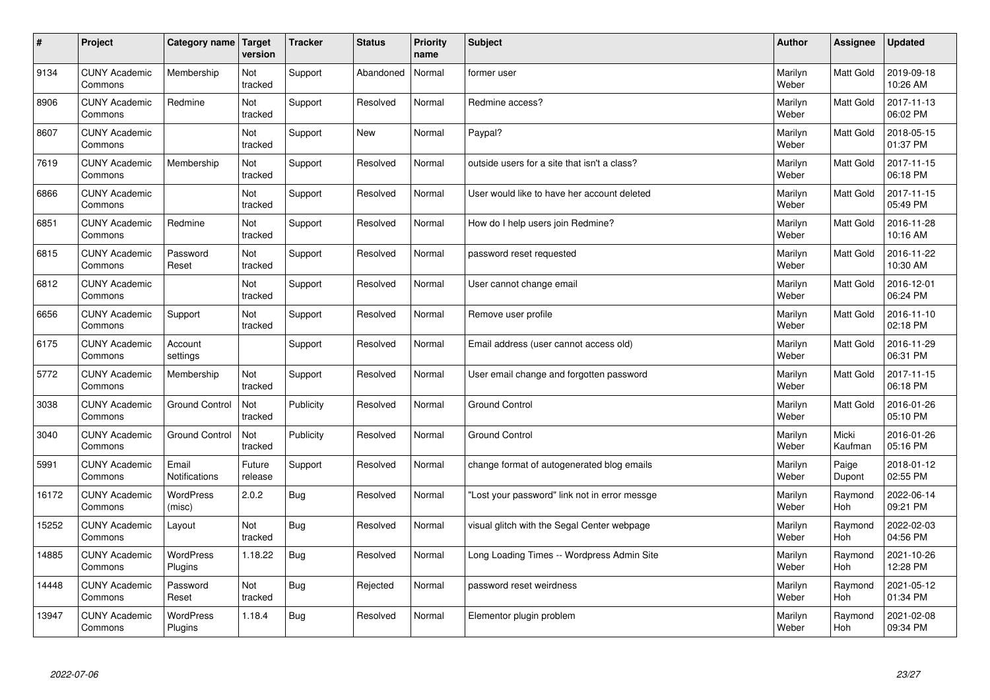| $\sharp$ | Project                         | Category name               | Target<br>version | <b>Tracker</b> | <b>Status</b> | <b>Priority</b><br>name | <b>Subject</b>                                | <b>Author</b>    | Assignee              | Updated                |
|----------|---------------------------------|-----------------------------|-------------------|----------------|---------------|-------------------------|-----------------------------------------------|------------------|-----------------------|------------------------|
| 9134     | <b>CUNY Academic</b><br>Commons | Membership                  | Not<br>tracked    | Support        | Abandoned     | Normal                  | former user                                   | Marilyn<br>Weber | <b>Matt Gold</b>      | 2019-09-18<br>10:26 AM |
| 8906     | <b>CUNY Academic</b><br>Commons | Redmine                     | Not<br>tracked    | Support        | Resolved      | Normal                  | Redmine access?                               | Marilyn<br>Weber | Matt Gold             | 2017-11-13<br>06:02 PM |
| 8607     | <b>CUNY Academic</b><br>Commons |                             | Not<br>tracked    | Support        | <b>New</b>    | Normal                  | Paypal?                                       | Marilyn<br>Weber | <b>Matt Gold</b>      | 2018-05-15<br>01:37 PM |
| 7619     | <b>CUNY Academic</b><br>Commons | Membership                  | Not<br>tracked    | Support        | Resolved      | Normal                  | outside users for a site that isn't a class?  | Marilyn<br>Weber | Matt Gold             | 2017-11-15<br>06:18 PM |
| 6866     | <b>CUNY Academic</b><br>Commons |                             | Not<br>tracked    | Support        | Resolved      | Normal                  | User would like to have her account deleted   | Marilyn<br>Weber | <b>Matt Gold</b>      | 2017-11-15<br>05:49 PM |
| 6851     | <b>CUNY Academic</b><br>Commons | Redmine                     | Not<br>tracked    | Support        | Resolved      | Normal                  | How do I help users join Redmine?             | Marilyn<br>Weber | Matt Gold             | 2016-11-28<br>10:16 AM |
| 6815     | <b>CUNY Academic</b><br>Commons | Password<br>Reset           | Not<br>tracked    | Support        | Resolved      | Normal                  | password reset requested                      | Marilyn<br>Weber | Matt Gold             | 2016-11-22<br>10:30 AM |
| 6812     | <b>CUNY Academic</b><br>Commons |                             | Not<br>tracked    | Support        | Resolved      | Normal                  | User cannot change email                      | Marilyn<br>Weber | Matt Gold             | 2016-12-01<br>06:24 PM |
| 6656     | <b>CUNY Academic</b><br>Commons | Support                     | Not<br>tracked    | Support        | Resolved      | Normal                  | Remove user profile                           | Marilyn<br>Weber | <b>Matt Gold</b>      | 2016-11-10<br>02:18 PM |
| 6175     | <b>CUNY Academic</b><br>Commons | Account<br>settings         |                   | Support        | Resolved      | Normal                  | Email address (user cannot access old)        | Marilyn<br>Weber | <b>Matt Gold</b>      | 2016-11-29<br>06:31 PM |
| 5772     | <b>CUNY Academic</b><br>Commons | Membership                  | Not<br>tracked    | Support        | Resolved      | Normal                  | User email change and forgotten password      | Marilyn<br>Weber | Matt Gold             | 2017-11-15<br>06:18 PM |
| 3038     | <b>CUNY Academic</b><br>Commons | <b>Ground Control</b>       | Not<br>tracked    | Publicity      | Resolved      | Normal                  | <b>Ground Control</b>                         | Marilyn<br>Weber | Matt Gold             | 2016-01-26<br>05:10 PM |
| 3040     | <b>CUNY Academic</b><br>Commons | <b>Ground Control</b>       | Not<br>tracked    | Publicity      | Resolved      | Normal                  | <b>Ground Control</b>                         | Marilyn<br>Weber | Micki<br>Kaufman      | 2016-01-26<br>05:16 PM |
| 5991     | <b>CUNY Academic</b><br>Commons | Email<br>Notifications      | Future<br>release | Support        | Resolved      | Normal                  | change format of autogenerated blog emails    | Marilyn<br>Weber | Paige<br>Dupont       | 2018-01-12<br>02:55 PM |
| 16172    | <b>CUNY Academic</b><br>Commons | <b>WordPress</b><br>(misc)  | 2.0.2             | Bug            | Resolved      | Normal                  | "Lost your password" link not in error messge | Marilyn<br>Weber | Raymond<br>Hoh        | 2022-06-14<br>09:21 PM |
| 15252    | <b>CUNY Academic</b><br>Commons | Layout                      | Not<br>tracked    | Bug            | Resolved      | Normal                  | visual glitch with the Segal Center webpage   | Marilyn<br>Weber | Raymond<br><b>Hoh</b> | 2022-02-03<br>04:56 PM |
| 14885    | <b>CUNY Academic</b><br>Commons | <b>WordPress</b><br>Plugins | 1.18.22           | Bug            | Resolved      | Normal                  | Long Loading Times -- Wordpress Admin Site    | Marilyn<br>Weber | Raymond<br><b>Hoh</b> | 2021-10-26<br>12:28 PM |
| 14448    | <b>CUNY Academic</b><br>Commons | Password<br>Reset           | Not<br>tracked    | <b>Bug</b>     | Rejected      | Normal                  | password reset weirdness                      | Marilyn<br>Weber | Raymond<br>Hoh        | 2021-05-12<br>01:34 PM |
| 13947    | <b>CUNY Academic</b><br>Commons | <b>WordPress</b><br>Plugins | 1.18.4            | <b>Bug</b>     | Resolved      | Normal                  | Elementor plugin problem                      | Marilyn<br>Weber | Raymond<br>Hoh        | 2021-02-08<br>09:34 PM |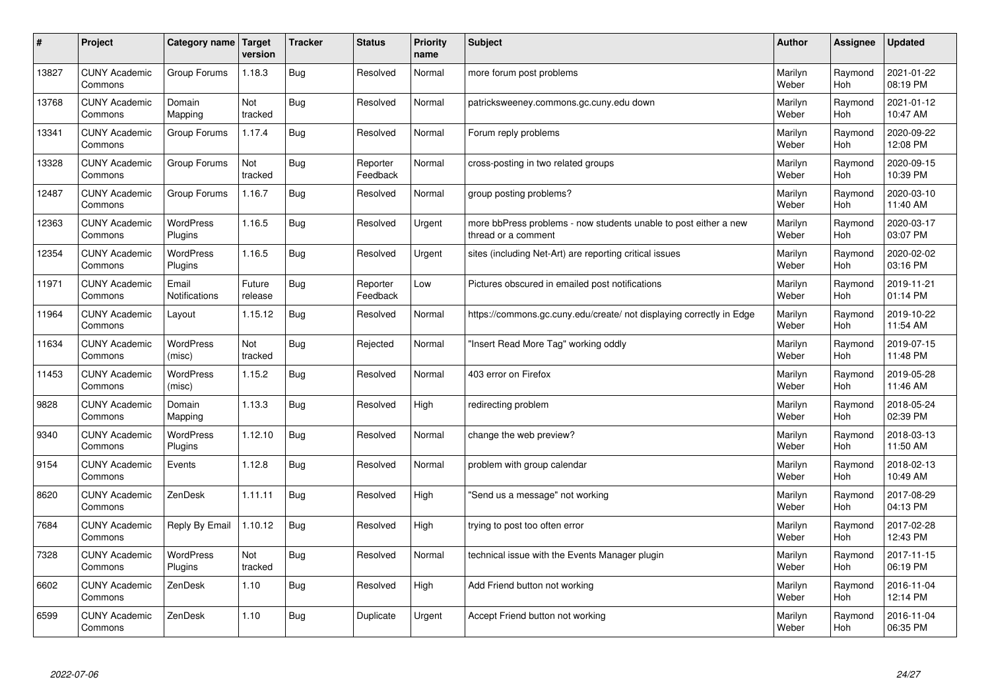| $\pmb{\sharp}$ | Project                         | Category name               | Target<br>version | <b>Tracker</b> | <b>Status</b>        | <b>Priority</b><br>name | <b>Subject</b>                                                                          | <b>Author</b>    | <b>Assignee</b>       | <b>Updated</b>         |
|----------------|---------------------------------|-----------------------------|-------------------|----------------|----------------------|-------------------------|-----------------------------------------------------------------------------------------|------------------|-----------------------|------------------------|
| 13827          | <b>CUNY Academic</b><br>Commons | Group Forums                | 1.18.3            | Bug            | Resolved             | Normal                  | more forum post problems                                                                | Marilyn<br>Weber | Raymond<br><b>Hoh</b> | 2021-01-22<br>08:19 PM |
| 13768          | <b>CUNY Academic</b><br>Commons | Domain<br>Mapping           | Not<br>tracked    | Bug            | Resolved             | Normal                  | patricksweeney.commons.gc.cuny.edu down                                                 | Marilyn<br>Weber | Raymond<br><b>Hoh</b> | 2021-01-12<br>10:47 AM |
| 13341          | <b>CUNY Academic</b><br>Commons | Group Forums                | 1.17.4            | Bug            | Resolved             | Normal                  | Forum reply problems                                                                    | Marilyn<br>Weber | Raymond<br><b>Hoh</b> | 2020-09-22<br>12:08 PM |
| 13328          | <b>CUNY Academic</b><br>Commons | Group Forums                | Not<br>tracked    | <b>Bug</b>     | Reporter<br>Feedback | Normal                  | cross-posting in two related groups                                                     | Marilyn<br>Weber | Raymond<br><b>Hoh</b> | 2020-09-15<br>10:39 PM |
| 12487          | <b>CUNY Academic</b><br>Commons | Group Forums                | 1.16.7            | <b>Bug</b>     | Resolved             | Normal                  | group posting problems?                                                                 | Marilyn<br>Weber | Raymond<br>Hoh        | 2020-03-10<br>11:40 AM |
| 12363          | <b>CUNY Academic</b><br>Commons | WordPress<br>Plugins        | 1.16.5            | Bug            | Resolved             | Urgent                  | more bbPress problems - now students unable to post either a new<br>thread or a comment | Marilyn<br>Weber | Raymond<br><b>Hoh</b> | 2020-03-17<br>03:07 PM |
| 12354          | <b>CUNY Academic</b><br>Commons | <b>WordPress</b><br>Plugins | 1.16.5            | <b>Bug</b>     | Resolved             | Urgent                  | sites (including Net-Art) are reporting critical issues                                 | Marilyn<br>Weber | Raymond<br>Hoh        | 2020-02-02<br>03:16 PM |
| 11971          | <b>CUNY Academic</b><br>Commons | Email<br>Notifications      | Future<br>release | <b>Bug</b>     | Reporter<br>Feedback | Low                     | Pictures obscured in emailed post notifications                                         | Marilyn<br>Weber | Raymond<br>Hoh        | 2019-11-21<br>01:14 PM |
| 11964          | <b>CUNY Academic</b><br>Commons | Layout                      | 1.15.12           | Bug            | Resolved             | Normal                  | https://commons.gc.cuny.edu/create/ not displaying correctly in Edge                    | Marilyn<br>Weber | Raymond<br><b>Hoh</b> | 2019-10-22<br>11:54 AM |
| 11634          | <b>CUNY Academic</b><br>Commons | <b>WordPress</b><br>(misc)  | Not<br>tracked    | <b>Bug</b>     | Rejected             | Normal                  | 'Insert Read More Tag" working oddly                                                    | Marilyn<br>Weber | Raymond<br>Hoh        | 2019-07-15<br>11:48 PM |
| 11453          | <b>CUNY Academic</b><br>Commons | WordPress<br>(misc)         | 1.15.2            | <b>Bug</b>     | Resolved             | Normal                  | 403 error on Firefox                                                                    | Marilyn<br>Weber | Raymond<br>Hoh        | 2019-05-28<br>11:46 AM |
| 9828           | <b>CUNY Academic</b><br>Commons | Domain<br>Mapping           | 1.13.3            | <b>Bug</b>     | Resolved             | High                    | redirecting problem                                                                     | Marilyn<br>Weber | Raymond<br>Hoh        | 2018-05-24<br>02:39 PM |
| 9340           | <b>CUNY Academic</b><br>Commons | <b>WordPress</b><br>Plugins | 1.12.10           | Bug            | Resolved             | Normal                  | change the web preview?                                                                 | Marilyn<br>Weber | Raymond<br>Hoh        | 2018-03-13<br>11:50 AM |
| 9154           | <b>CUNY Academic</b><br>Commons | Events                      | 1.12.8            | Bug            | Resolved             | Normal                  | problem with group calendar                                                             | Marilyn<br>Weber | Raymond<br><b>Hoh</b> | 2018-02-13<br>10:49 AM |
| 8620           | <b>CUNY Academic</b><br>Commons | ZenDesk                     | 1.11.11           | <b>Bug</b>     | Resolved             | High                    | 'Send us a message" not working                                                         | Marilyn<br>Weber | Raymond<br>Hoh        | 2017-08-29<br>04:13 PM |
| 7684           | <b>CUNY Academic</b><br>Commons | Reply By Email              | 1.10.12           | Bug            | Resolved             | High                    | trying to post too often error                                                          | Marilyn<br>Weber | Raymond<br>Hoh        | 2017-02-28<br>12:43 PM |
| 7328           | <b>CUNY Academic</b><br>Commons | WordPress<br>Plugins        | Not<br>tracked    | Bug            | Resolved             | Normal                  | technical issue with the Events Manager plugin                                          | Marilyn<br>Weber | Raymond<br>Hoh        | 2017-11-15<br>06:19 PM |
| 6602           | <b>CUNY Academic</b><br>Commons | ZenDesk                     | 1.10              | <b>Bug</b>     | Resolved             | High                    | Add Friend button not working                                                           | Marilyn<br>Weber | Raymond<br><b>Hoh</b> | 2016-11-04<br>12:14 PM |
| 6599           | <b>CUNY Academic</b><br>Commons | ZenDesk                     | 1.10              | Bug            | Duplicate            | Urgent                  | Accept Friend button not working                                                        | Marilyn<br>Weber | Raymond<br>Hoh        | 2016-11-04<br>06:35 PM |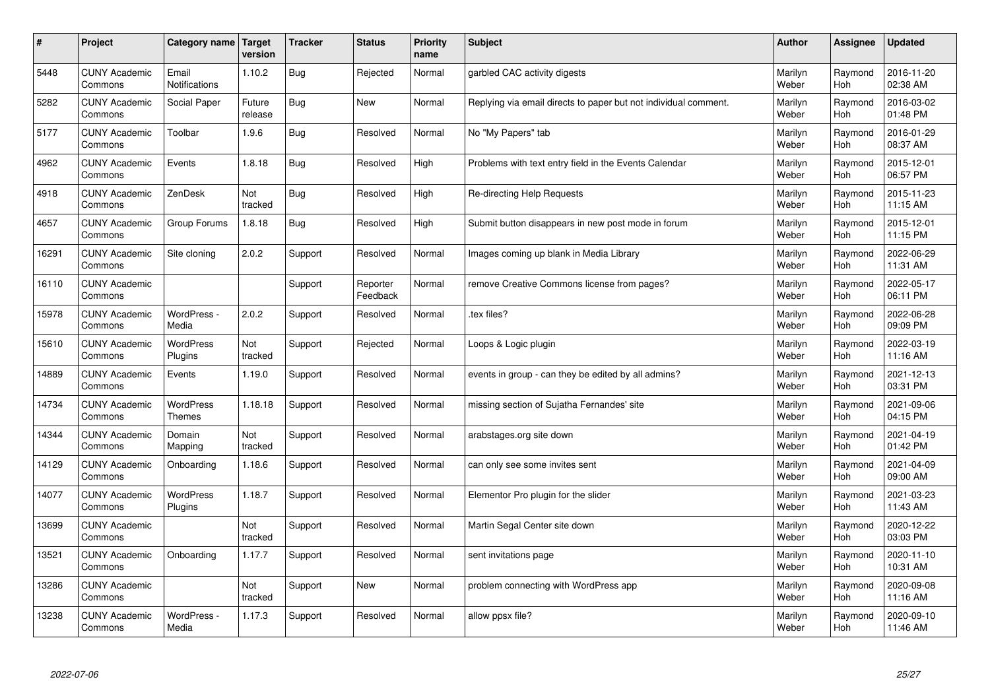| $\vert$ # | Project                         | Category name   Target      | version           | <b>Tracker</b> | <b>Status</b>        | <b>Priority</b><br>name | <b>Subject</b>                                                  | <b>Author</b>    | Assignee              | <b>Updated</b>         |
|-----------|---------------------------------|-----------------------------|-------------------|----------------|----------------------|-------------------------|-----------------------------------------------------------------|------------------|-----------------------|------------------------|
| 5448      | <b>CUNY Academic</b><br>Commons | Email<br>Notifications      | 1.10.2            | <b>Bug</b>     | Rejected             | Normal                  | garbled CAC activity digests                                    | Marilyn<br>Weber | Raymond<br>Hoh        | 2016-11-20<br>02:38 AM |
| 5282      | <b>CUNY Academic</b><br>Commons | Social Paper                | Future<br>release | Bug            | <b>New</b>           | Normal                  | Replying via email directs to paper but not individual comment. | Marilyn<br>Weber | Raymond<br>Hoh        | 2016-03-02<br>01:48 PM |
| 5177      | <b>CUNY Academic</b><br>Commons | Toolbar                     | 1.9.6             | Bug            | Resolved             | Normal                  | No "My Papers" tab                                              | Marilyn<br>Weber | Raymond<br>Hoh        | 2016-01-29<br>08:37 AM |
| 4962      | <b>CUNY Academic</b><br>Commons | Events                      | 1.8.18            | Bug            | Resolved             | High                    | Problems with text entry field in the Events Calendar           | Marilyn<br>Weber | Raymond<br><b>Hoh</b> | 2015-12-01<br>06:57 PM |
| 4918      | <b>CUNY Academic</b><br>Commons | ZenDesk                     | Not<br>tracked    | Bug            | Resolved             | High                    | Re-directing Help Requests                                      | Marilyn<br>Weber | Raymond<br><b>Hoh</b> | 2015-11-23<br>11:15 AM |
| 4657      | <b>CUNY Academic</b><br>Commons | Group Forums                | 1.8.18            | <b>Bug</b>     | Resolved             | High                    | Submit button disappears in new post mode in forum              | Marilyn<br>Weber | Raymond<br>Hoh        | 2015-12-01<br>11:15 PM |
| 16291     | <b>CUNY Academic</b><br>Commons | Site cloning                | 2.0.2             | Support        | Resolved             | Normal                  | Images coming up blank in Media Library                         | Marilyn<br>Weber | Raymond<br><b>Hoh</b> | 2022-06-29<br>11:31 AM |
| 16110     | <b>CUNY Academic</b><br>Commons |                             |                   | Support        | Reporter<br>Feedback | Normal                  | remove Creative Commons license from pages?                     | Marilyn<br>Weber | Raymond<br>Hoh        | 2022-05-17<br>06:11 PM |
| 15978     | <b>CUNY Academic</b><br>Commons | WordPress -<br>Media        | 2.0.2             | Support        | Resolved             | Normal                  | tex files?                                                      | Marilyn<br>Weber | Raymond<br>Hoh        | 2022-06-28<br>09:09 PM |
| 15610     | <b>CUNY Academic</b><br>Commons | <b>WordPress</b><br>Plugins | Not<br>tracked    | Support        | Rejected             | Normal                  | Loops & Logic plugin                                            | Marilyn<br>Weber | Raymond<br>Hoh        | 2022-03-19<br>11:16 AM |
| 14889     | <b>CUNY Academic</b><br>Commons | Events                      | 1.19.0            | Support        | Resolved             | Normal                  | events in group - can they be edited by all admins?             | Marilyn<br>Weber | Raymond<br><b>Hoh</b> | 2021-12-13<br>03:31 PM |
| 14734     | <b>CUNY Academic</b><br>Commons | WordPress<br>Themes         | 1.18.18           | Support        | Resolved             | Normal                  | missing section of Sujatha Fernandes' site                      | Marilyn<br>Weber | Raymond<br><b>Hoh</b> | 2021-09-06<br>04:15 PM |
| 14344     | <b>CUNY Academic</b><br>Commons | Domain<br>Mapping           | Not<br>tracked    | Support        | Resolved             | Normal                  | arabstages.org site down                                        | Marilyn<br>Weber | Raymond<br><b>Hoh</b> | 2021-04-19<br>01:42 PM |
| 14129     | <b>CUNY Academic</b><br>Commons | Onboarding                  | 1.18.6            | Support        | Resolved             | Normal                  | can only see some invites sent                                  | Marilyn<br>Weber | Raymond<br><b>Hoh</b> | 2021-04-09<br>09:00 AM |
| 14077     | <b>CUNY Academic</b><br>Commons | WordPress<br>Plugins        | 1.18.7            | Support        | Resolved             | Normal                  | Elementor Pro plugin for the slider                             | Marilyn<br>Weber | Raymond<br>Hoh        | 2021-03-23<br>11:43 AM |
| 13699     | <b>CUNY Academic</b><br>Commons |                             | Not<br>tracked    | Support        | Resolved             | Normal                  | Martin Segal Center site down                                   | Marilyn<br>Weber | Raymond<br><b>Hoh</b> | 2020-12-22<br>03:03 PM |
| 13521     | <b>CUNY Academic</b><br>Commons | Onboarding                  | 1.17.7            | Support        | Resolved             | Normal                  | sent invitations page                                           | Marilyn<br>Weber | Raymond<br><b>Hoh</b> | 2020-11-10<br>10:31 AM |
| 13286     | <b>CUNY Academic</b><br>Commons |                             | Not<br>tracked    | Support        | New                  | Normal                  | problem connecting with WordPress app                           | Marilyn<br>Weber | Raymond<br><b>Hoh</b> | 2020-09-08<br>11:16 AM |
| 13238     | <b>CUNY Academic</b><br>Commons | WordPress -<br>Media        | 1.17.3            | Support        | Resolved             | Normal                  | allow ppsx file?                                                | Marilyn<br>Weber | Raymond<br>Hoh        | 2020-09-10<br>11:46 AM |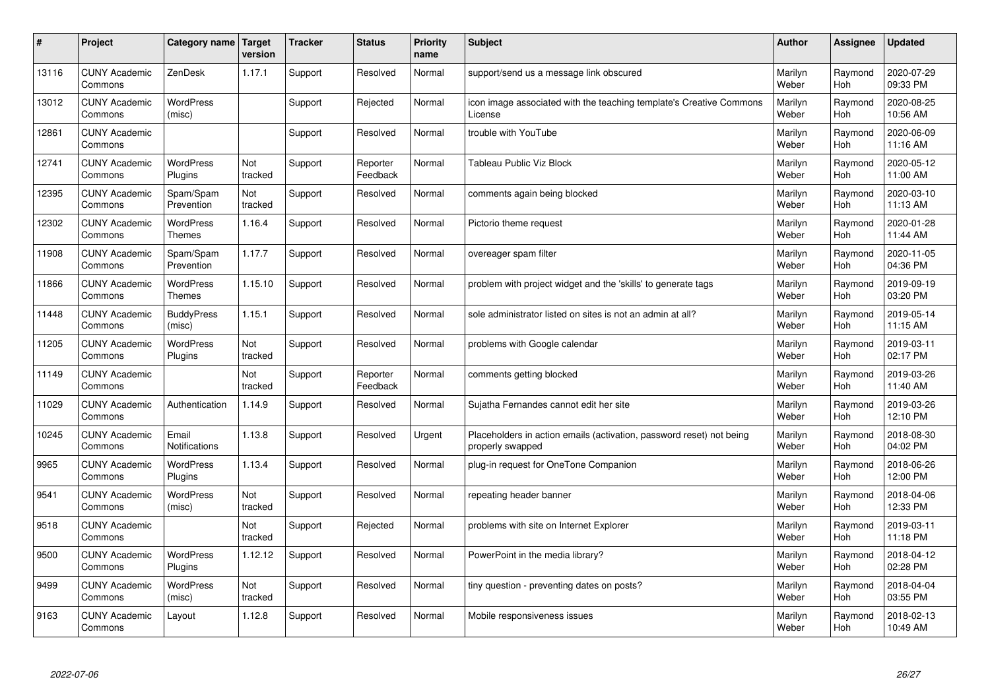| $\pmb{\sharp}$ | Project                         | Category name                     | Target<br>version | <b>Tracker</b> | <b>Status</b>        | <b>Priority</b><br>name | <b>Subject</b>                                                                           | <b>Author</b>    | Assignee              | <b>Updated</b>         |
|----------------|---------------------------------|-----------------------------------|-------------------|----------------|----------------------|-------------------------|------------------------------------------------------------------------------------------|------------------|-----------------------|------------------------|
| 13116          | <b>CUNY Academic</b><br>Commons | ZenDesk                           | 1.17.1            | Support        | Resolved             | Normal                  | support/send us a message link obscured                                                  | Marilyn<br>Weber | Raymond<br><b>Hoh</b> | 2020-07-29<br>09:33 PM |
| 13012          | <b>CUNY Academic</b><br>Commons | <b>WordPress</b><br>(misc)        |                   | Support        | Rejected             | Normal                  | icon image associated with the teaching template's Creative Commons<br>License           | Marilyn<br>Weber | Raymond<br>Hoh        | 2020-08-25<br>10:56 AM |
| 12861          | <b>CUNY Academic</b><br>Commons |                                   |                   | Support        | Resolved             | Normal                  | trouble with YouTube                                                                     | Marilyn<br>Weber | Raymond<br>Hoh        | 2020-06-09<br>11:16 AM |
| 12741          | <b>CUNY Academic</b><br>Commons | WordPress<br>Plugins              | Not<br>tracked    | Support        | Reporter<br>Feedback | Normal                  | Tableau Public Viz Block                                                                 | Marilyn<br>Weber | Raymond<br>Hoh        | 2020-05-12<br>11:00 AM |
| 12395          | <b>CUNY Academic</b><br>Commons | Spam/Spam<br>Prevention           | Not<br>tracked    | Support        | Resolved             | Normal                  | comments again being blocked                                                             | Marilyn<br>Weber | Raymond<br>Hoh        | 2020-03-10<br>11:13 AM |
| 12302          | <b>CUNY Academic</b><br>Commons | <b>WordPress</b><br><b>Themes</b> | 1.16.4            | Support        | Resolved             | Normal                  | Pictorio theme request                                                                   | Marilyn<br>Weber | Raymond<br>Hoh        | 2020-01-28<br>11:44 AM |
| 11908          | <b>CUNY Academic</b><br>Commons | Spam/Spam<br>Prevention           | 1.17.7            | Support        | Resolved             | Normal                  | overeager spam filter                                                                    | Marilyn<br>Weber | Raymond<br>Hoh        | 2020-11-05<br>04:36 PM |
| 11866          | <b>CUNY Academic</b><br>Commons | WordPress<br><b>Themes</b>        | 1.15.10           | Support        | Resolved             | Normal                  | problem with project widget and the 'skills' to generate tags                            | Marilyn<br>Weber | Raymond<br>Hoh        | 2019-09-19<br>03:20 PM |
| 11448          | <b>CUNY Academic</b><br>Commons | <b>BuddyPress</b><br>(misc)       | 1.15.1            | Support        | Resolved             | Normal                  | sole administrator listed on sites is not an admin at all?                               | Marilyn<br>Weber | Raymond<br>Hoh        | 2019-05-14<br>11:15 AM |
| 11205          | <b>CUNY Academic</b><br>Commons | <b>WordPress</b><br>Plugins       | Not<br>tracked    | Support        | Resolved             | Normal                  | problems with Google calendar                                                            | Marilyn<br>Weber | Raymond<br>Hoh        | 2019-03-11<br>02:17 PM |
| 11149          | <b>CUNY Academic</b><br>Commons |                                   | Not<br>tracked    | Support        | Reporter<br>Feedback | Normal                  | comments getting blocked                                                                 | Marilyn<br>Weber | Raymond<br><b>Hoh</b> | 2019-03-26<br>11:40 AM |
| 11029          | <b>CUNY Academic</b><br>Commons | Authentication                    | 1.14.9            | Support        | Resolved             | Normal                  | Sujatha Fernandes cannot edit her site                                                   | Marilyn<br>Weber | Raymond<br>Hoh        | 2019-03-26<br>12:10 PM |
| 10245          | <b>CUNY Academic</b><br>Commons | Email<br>Notifications            | 1.13.8            | Support        | Resolved             | Urgent                  | Placeholders in action emails (activation, password reset) not being<br>properly swapped | Marilyn<br>Weber | Raymond<br>Hoh        | 2018-08-30<br>04:02 PM |
| 9965           | <b>CUNY Academic</b><br>Commons | <b>WordPress</b><br>Plugins       | 1.13.4            | Support        | Resolved             | Normal                  | plug-in request for OneTone Companion                                                    | Marilyn<br>Weber | Raymond<br>Hoh        | 2018-06-26<br>12:00 PM |
| 9541           | <b>CUNY Academic</b><br>Commons | <b>WordPress</b><br>(misc)        | Not<br>tracked    | Support        | Resolved             | Normal                  | repeating header banner                                                                  | Marilyn<br>Weber | Raymond<br>Hoh        | 2018-04-06<br>12:33 PM |
| 9518           | <b>CUNY Academic</b><br>Commons |                                   | Not<br>tracked    | Support        | Rejected             | Normal                  | problems with site on Internet Explorer                                                  | Marilyn<br>Weber | Raymond<br><b>Hoh</b> | 2019-03-11<br>11:18 PM |
| 9500           | <b>CUNY Academic</b><br>Commons | <b>WordPress</b><br>Plugins       | 1.12.12           | Support        | Resolved             | Normal                  | PowerPoint in the media library?                                                         | Marilyn<br>Weber | Raymond<br>Hoh        | 2018-04-12<br>02:28 PM |
| 9499           | <b>CUNY Academic</b><br>Commons | <b>WordPress</b><br>(misc)        | Not<br>tracked    | Support        | Resolved             | Normal                  | tiny question - preventing dates on posts?                                               | Marilyn<br>Weber | Raymond<br>Hoh        | 2018-04-04<br>03:55 PM |
| 9163           | <b>CUNY Academic</b><br>Commons | Layout                            | 1.12.8            | Support        | Resolved             | Normal                  | Mobile responsiveness issues                                                             | Marilyn<br>Weber | Raymond<br>Hoh        | 2018-02-13<br>10:49 AM |